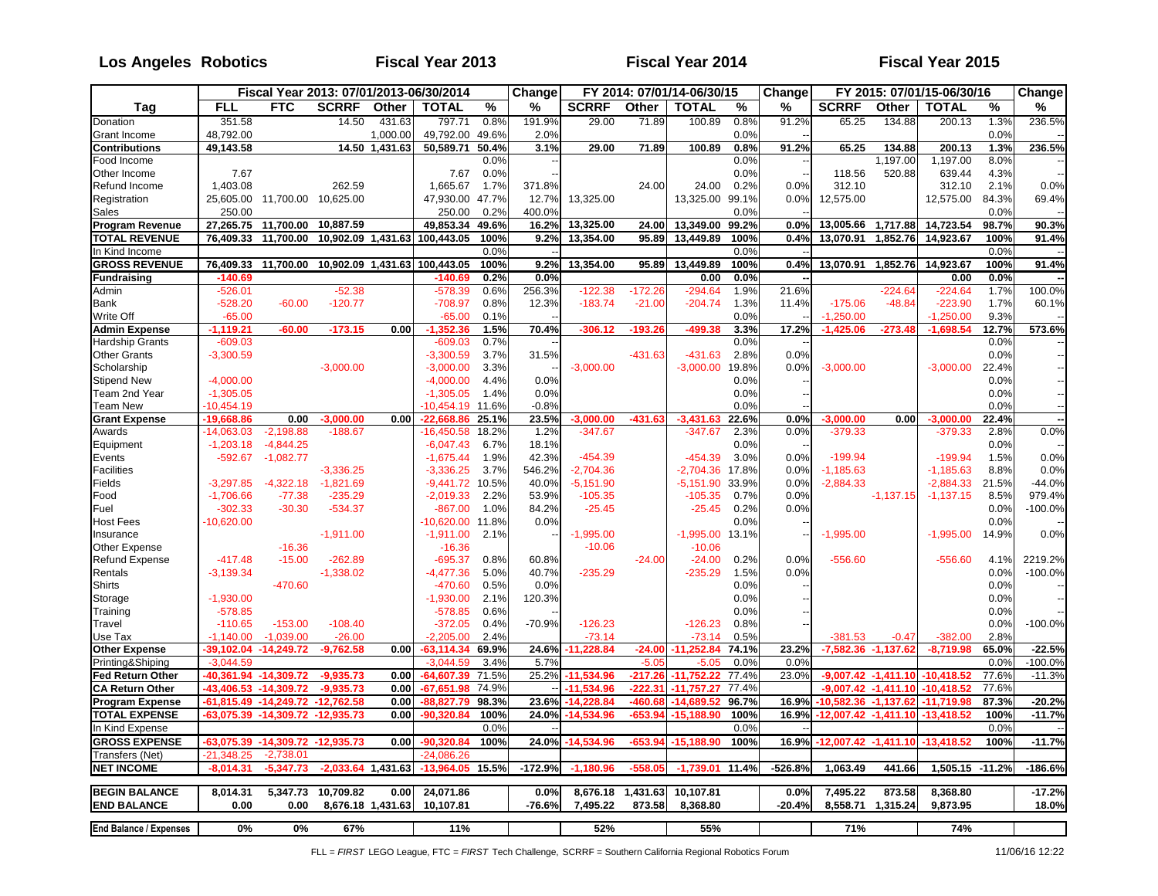#### **Tag Donation** Grant Income **Contributions** Food Income Other Income Refund Income **Registration** Sales **Program Revenue TOTAL REVENUE** In Kind Income **GROSS REVENUE Fundraising** Admin Bank Write Off **Admin Expense** Hardship Grants Other Grants **Scholarship** Stipend New Team 2nd Year Team New **Grant Expense** Awards Equipment Events **Facilities** Fields Food Fuel Host Fees Insurance Other Expense Refund Expense Rentals **Shirts** Storage **Training Travel** Use Tax **Other Expense** Printing&Shiping **Fed Return Other CA Return Other Program Expense TOTAL EXPENSE** In Kind Expense **GROSS EXPENSE** Transfers (Net) **NET INCOME BEGIN BALANCE END BALANCE End Balance / Expenses Change Change Change FY 2015: 07/01/15-06/30/16 FLL FTC SCRRF Other TOTAL % % SCRRF Other TOTAL % % SCRRF Other TOTAL % %** 351.58 14.50 431.63 797.71 0.8% 191.9% 29.00 71.89 100.89 0.8% 91.2% 65.25 134.88 200.13 1.3% 236.5% 48,792.00 1,000.00| 49,792.00 49.6%| 2.0%| 0.0%| --| 0.0%| --**49,143.58 14.50 1,431.63 50,589.71 50.4% 3.1% 29.00 71.89 100.89 0.8% 91.2% 65.25 134.88 200.13 1.3% 236.5%** 0.0% -- 0.0% -- 1,197.00 1,197.00 8.0% -- 7.67 7.67 0.0% -- 0.0% -- 118.56 520.88 639.44 4.3% -- 1,403.08 262.59 1,665.67 1.7% 371.8% 24.00 24.00 0.2% 0.0% 312.10 312.10 2.1% 0.0% 25,605.00 11,700.00 10,625.00 47,930.00 47.7% 12.7% 13,325.00 13,325.00 99.1% 0.0% 12,575.00 12,575.00 84.3% 69.4% 250.00 | 250.00 0.2%| 400.0%| 0.0%| --| 0.0%| --**27,265.75 11,700.00 10,887.59 49,853.34 49.6% 16.2% 13,325.00 24.00 13,349.00 99.2% 0.0% 13,005.66 1,717.88 14,723.54 98.7% 90.3% 76,409.33 11,700.00 10,902.09 1,431.63 100,443.05 100% 9.2% 13,354.00 95.89 13,449.89 100% 0.4% 13,070.91 1,852.76 14,923.67 100% 91.4%** 0.0% -- 0.0% -- 0.0% -- **76,409.33 11,700.00 10,902.09 1,431.63 100,443.05 100% 9.2% 13,354.00 95.89 13,449.89 100% 0.4% 13,070.91 1,852.76 14,923.67 100% 91.4% -140.69 -140.69 0.2% 0.0% 0.00 0.0% -- 0.00 0.0% --** -526.01 -52.38 -578.39 0.6% 256.3% -122.38 -172.26 -294.64 1.9% 21.6% -224.64 -224.64 1.7% 100.0% -528.20 -60.00 -120.77 -708.97 0.8% 12.3% -183.74 -21.00 -204.74 1.3% 11.4% -175.06 -48.84 -223.90 1.7% 60.1% -65.00 -65.00 0.1% -- 0.0% -- -1,250.00 -1,250.00 9.3% -- -1,119.21 -60.00 -173.15 0.00 -1,352.36 1.5% 70.4% -306.12 -193.26 -499.38 3.3% 17.2% -1,425.06 -273.48 -1,698.54 12.7% 573.6% -609.03 -609.03 0.7% -- 0.0% -- 0.0% -- -3,300.59 -3,300.59 3.7% 31.5% -431.63 -431.63 2.8% 0.0% 0.0% -- --3,000.00 -3,000.00 -3,000.00 --1 -3,000.00 -3,000.00 -3,000.00 -3,000.00 -3,000.00 -3,000.00 -3,000.00 --1 -4,000.00 | -4,000.00 4.4% | 0.0% | 0.0% | 0.0% | 0.0% | 0.0% | -1,305.05 -1,305.05 1.4% 0.0% 0.0% -- 0.0% -- -10,454.19 -10,454.19 11.6% -0.8% 0.0% -- 0.0% -- -19,668.86 0.00 -3,000.00 0.00|-22,668.86 25.1%| 23.5%| -3,000.00 -431.63| -3,431.63 22.6%| 0.0%| -3,000.00 0.00| -3,000.00 22.4%| ---14,063.03 -2,198.88 -188.67 -16,450.58 18.2% 1.2% -347.67 -347.67 2.3% 0.0% -379.33 -379.33 2.8% 0.0% -1,203.18 -4,844.25 | -6,047.43 6.7%| 18.1% 0.0%| --| 0.0%| ---592.67 -1,082.77 -1,675.44 1.9% 42.3% -454.39 -454.39 3.0% 0.0% -199.94 -199.94 1.5% 0.0% -3,336.25 -3,336.25 3.7% 546.2% -2,704.36 -2,704.36 17.8% 0.0% -1,185.63 -1,185.63 8.8% 0.0% -3,297.85 -4,322.18 -1,821.69 -9,441.72 10.5% 40.0% -5,151.90 -5,151.90 33.9% 0.0% -2,884.33 -2,884.33 21.5% -44.0% -1,706.66 -77.38 -235.29 -2,019.33 2.2% 53.9% -105.35 -105.35 0.7% 0.0% -1,137.15 -1,137.15 8.5% 979.4% -302.33 -30.30 -534.37 | -867.00 1.0%| 84.2%| -25.45 | -25.45 0.2%| 0.0%| 0.0%| -100.0% -10,620.00 -10,620.00 11.8% 0.0% 0.0% -- 0.0% -- -1,911.00 -1,911.00 2.1% -- -1,995.00 -1,995.00 13.1% -- -1,995.00 -1,995.00 14.9% 0.0% -16.36 -16.36 -10.06 -10.06 -417.48 -15.00 -262.89 -695.37 0.8% 60.8% -24.00 -24.00 0.2% 0.0% -556.60 -556.60 4.1% 2219.2% -3,139.34 -1,338.02 | -4,477.36 5.0%| -40.7%| -235.29 | -235.29 1.5%| 0.0%| ------------------------------------- -470.60 -470.60 0.5%| 0.0%| -- 0.0%| --- 0.0%| -- 0.0%| -- 0.0%| -- 0.0%| ---1,930.00 -1,930.00 2.1% 120.3% 0.0% -- 0.0% -- -578.85 -578.85 0.6% -- 0.0% -- 0.0% -- -110.65 -153.00 -108.40 | -372.05 0.4%| -70.9%| -126.23 | -126.23 0.8%| --| 0.0%| -100.0% -1,140.00 -1,039.00 -26.00 -2,205.00 2.4% -73.14 -73.14 0.5% -381.53 -0.47 -382.00 2.8% -39,102.04 -14,249.72 -9,762.58 0.00| -63,114.34 69.9%| 24.6%| -11,228.84 -24.00| -11,252.84 74.1%| 23.2%| -7,582.36 -1,137.62| -8,719.98 65.0%| -22.5% -3,044.59 -3,044.59 -3,044.59 -3,044.59 -5.05 -5.05 -5.05 -5.05 0.0% -5.05 -5.05 -100.0% -100.0% -100.0% **-40,361.94 -14,309.72 -9,935.73 0.00 -64,607.39** 71.5% 25.2% **-11,534.96 -217.26 -11,752.22** 77.4% 23.0% **-9,007.42 -1,411.10 -10,418.52** 77.6% -11.3% **-43,406.53 -14,309.72 -9,935.73 0.00 -67,651.98** 74.9% -- **-11,534.96 -222.31 -11,757.27** 77.4% **-9,007.42 -1,411.10 -10,418.52** 77.6% **-61,815.49 -14,249.72 -12,762.58 0.00 -88,827.79 98.3% 23.6% -14,228.84 -460.68 -14,689.52 96.7% 16.9% -10,582.36 -1,137.62 -11,719.98 87.3% -20.2% -63,075.39 -14,309.72 -12,935.73 0.00 -90,320.84 100% 24.0% -14,534.96 -653.94 -15,188.90 100% 16.9% -12,007.42 -1,411.10 -13,418.52 100% -11.7%** 0.0% -- 0.0% -- 0.0% -- 0.0% -- 0.0% -- 0.0% -- 0.0% -- 0.0% -- 0.0% -- 0.0% -- 0 **-63,075.39 -14,309.72 -12,935.73 0.00 -90,320.84 100% 24.0% -14,534.96 -653.94 -15,188.90 100% 16.9% -12,007.42 -1,411.10 -13,418.52 100% -11.7%** -2 738.0<sup>.</sup> **-8,014.31 -5,347.73 -2,033.64 1,431.63 -13,964.05 15.5% -172.9% -1,180.96 -558.05 -1,739.01 11.4% -526.8% 1,063.49 441.66 1,505.15 -11.2% -186.6% 8,014.31 5,347.73 10,709.82 0.00 24,071.86 0.0% 8,676.18 1,431.63 10,107.81 0.0% 7,495.22 873.58 8,368.80 -17.2% 0.00 0.00 8,676.18 1,431.63 10,107.81 -76.6% 7,495.22 873.58 8,368.80 -20.4% 8,558.71 1,315.24 9,873.95 18.0% 0% 0% 67% 11% 52% 55% 71% 74% Fiscal Year 2013: 07/01/2013-06/30/2014 FY 2014: 07/01/14-06/30/15**

**Los Angeles**

**Fiscal Year 2014**

**Robotics Fiscal Year 2013 Fiscal Year 2015**

FLL = *FIRST* LEGO League, FTC = *FIRST* Tech Challenge, SCRRF = Southern California Regional Robotics Forum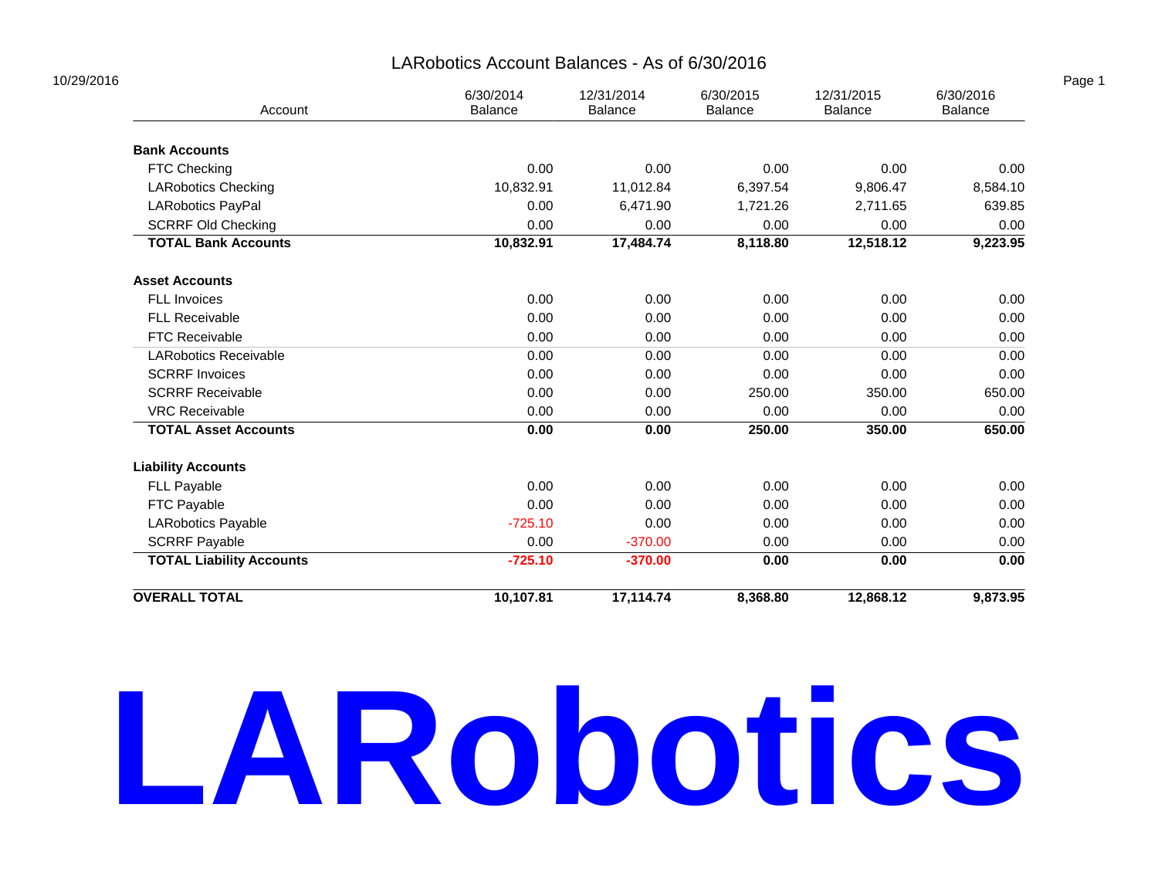#### LARobotics Account Balances - As of 6/30/2016

| Account                         | 6/30/2014<br>Balance | 12/31/2014<br>6/30/2015<br>Balance |          | 12/31/2015<br>Balance | 6/30/2016<br>Balance |  |
|---------------------------------|----------------------|------------------------------------|----------|-----------------------|----------------------|--|
| <b>Bank Accounts</b>            |                      |                                    |          |                       |                      |  |
| FTC Checking                    | 0.00                 | 0.00                               | 0.00     | 0.00                  | 0.00                 |  |
| <b>LARobotics Checking</b>      | 10,832.91            | 11,012.84                          | 6,397.54 | 9,806.47              | 8,584.10             |  |
| LARobotics PayPal               | 0.00                 | 6,471.90                           | 1,721.26 | 2,711.65              | 639.85               |  |
| <b>SCRRF Old Checking</b>       | 0.00                 | 0.00                               | 0.00     | 0.00                  | 0.00                 |  |
| <b>TOTAL Bank Accounts</b>      | 10,832.91            | 17,484.74                          | 8,118.80 | 12,518.12             | 9,223.95             |  |
| <b>Asset Accounts</b>           |                      |                                    |          |                       |                      |  |
| FLL Invoices                    | 0.00                 | 0.00                               | 0.00     | 0.00                  | 0.00                 |  |
| <b>FLL Receivable</b>           | 0.00                 | 0.00                               | 0.00     | 0.00                  | 0.00                 |  |
| <b>FTC Receivable</b>           | 0.00                 | 0.00                               | 0.00     | 0.00                  | 0.00                 |  |
| <b>LARobotics Receivable</b>    | 0.00                 | 0.00                               | 0.00     | 0.00                  | 0.00                 |  |
| <b>SCRRF Invoices</b>           | 0.00                 | 0.00                               | 0.00     | 0.00                  | 0.00                 |  |
| <b>SCRRF Receivable</b>         | 0.00                 | 0.00                               | 250.00   | 350.00                | 650.00               |  |
| <b>VRC Receivable</b>           | 0.00                 | 0.00                               | 0.00     | 0.00                  | 0.00                 |  |
| <b>TOTAL Asset Accounts</b>     | 0.00                 | 0.00                               | 250.00   | 350.00                | 650.00               |  |
| <b>Liability Accounts</b>       |                      |                                    |          |                       |                      |  |
| FLL Payable                     | 0.00                 | 0.00                               | 0.00     | 0.00                  | 0.00                 |  |
| FTC Payable                     | 0.00                 | 0.00                               | 0.00     | 0.00                  | 0.00                 |  |
| LARobotics Payable              | $-725.10$            | 0.00                               | 0.00     | 0.00                  | 0.00                 |  |
| <b>SCRRF Payable</b>            | 0.00                 | $-370.00$                          | 0.00     | 0.00                  | 0.00                 |  |
| <b>TOTAL Liability Accounts</b> | $-725.10$            | $-370.00$                          | 0.00     | 0.00                  | 0.00                 |  |
| <b>OVERALL TOTAL</b>            | 10,107.81            | 17,114.74                          | 8,368.80 | 12,868.12             | 9,873.95             |  |

## **LARobotics**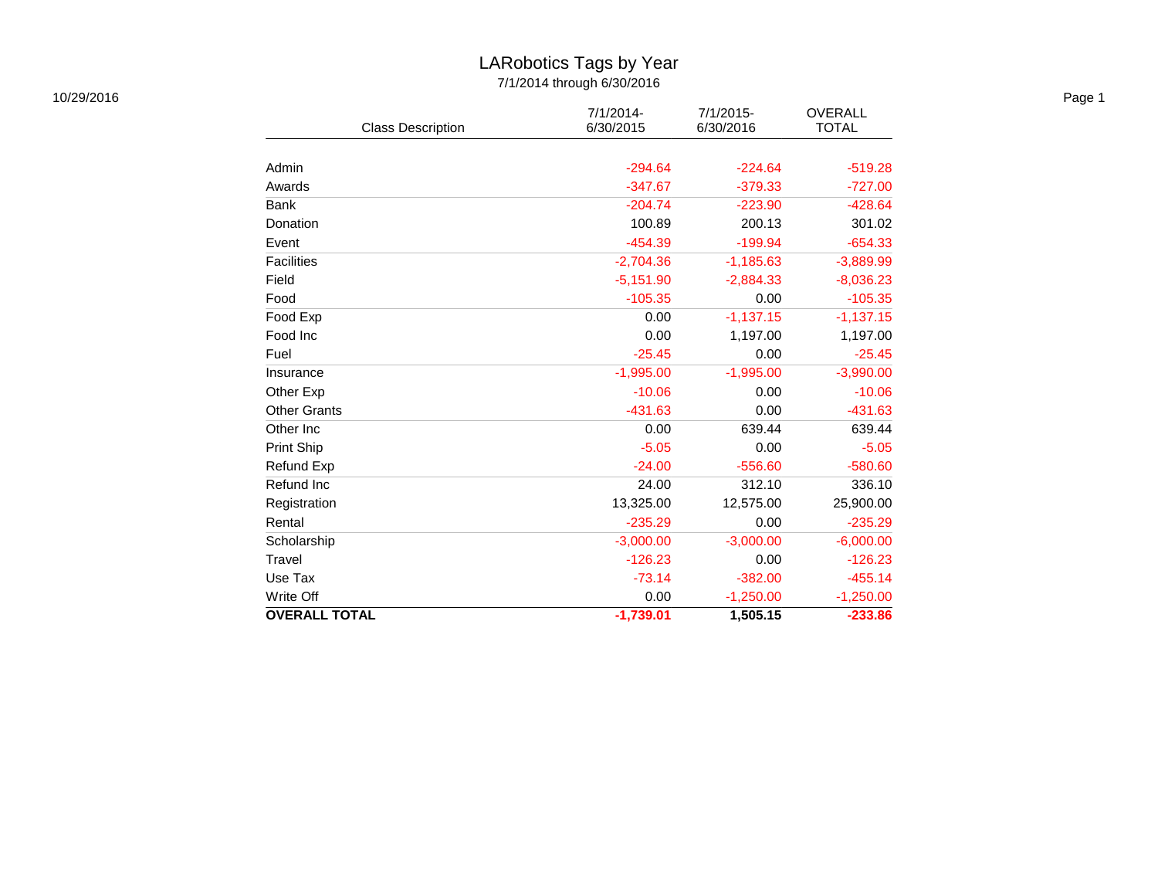#### LARobotics Tags by Year 7/1/2014 through 6/30/2016

| 10/29/2016 |                          |                           |                           |                                | Page 1 |
|------------|--------------------------|---------------------------|---------------------------|--------------------------------|--------|
|            | <b>Class Description</b> | $7/1/2014$ -<br>6/30/2015 | $7/1/2015$ -<br>6/30/2016 | <b>OVERALL</b><br><b>TOTAL</b> |        |
|            |                          |                           |                           |                                |        |
|            | Admin                    | $-294.64$                 | $-224.64$                 | $-519.28$                      |        |
|            | Awards                   | $-347.67$                 | $-379.33$                 | $-727.00$                      |        |
|            | Bank                     | $-204.74$                 | $-223.90$                 | $-428.64$                      |        |
|            | Donation                 | 100.89                    | 200.13                    | 301.02                         |        |
|            | Event                    | $-454.39$                 | $-199.94$                 | $-654.33$                      |        |
|            | <b>Facilities</b>        | $-2,704.36$               | $-1,185.63$               | $-3,889.99$                    |        |
|            | Field                    | $-5,151.90$               | $-2,884.33$               | $-8,036.23$                    |        |
|            | Food                     | $-105.35$                 | 0.00                      | $-105.35$                      |        |
|            | Food Exp                 | 0.00                      | $-1,137.15$               | $-1,137.15$                    |        |
|            | Food Inc                 | 0.00                      | 1,197.00                  | 1,197.00                       |        |
|            | Fuel                     | $-25.45$                  | 0.00                      | $-25.45$                       |        |
|            | Insurance                | $-1,995.00$               | $-1,995.00$               | $-3,990.00$                    |        |
|            | Other Exp                | $-10.06$                  | 0.00                      | $-10.06$                       |        |
|            | <b>Other Grants</b>      | $-431.63$                 | 0.00                      | $-431.63$                      |        |
|            | Other Inc                | 0.00                      | 639.44                    | 639.44                         |        |
|            | Print Ship               | $-5.05$                   | 0.00                      | $-5.05$                        |        |
|            | Refund Exp               | $-24.00$                  | $-556.60$                 | $-580.60$                      |        |
|            | Refund Inc               | 24.00                     | 312.10                    | 336.10                         |        |
|            | Registration             | 13,325.00                 | 12,575.00                 | 25,900.00                      |        |
|            | Rental                   | $-235.29$                 | 0.00                      | $-235.29$                      |        |
|            | Scholarship              | $-3,000.00$               | $-3,000.00$               | $-6,000.00$                    |        |
|            | Travel                   | $-126.23$                 | 0.00                      | $-126.23$                      |        |
|            | Use Tax                  | $-73.14$                  | $-382.00$                 | $-455.14$                      |        |
|            | Write Off                | 0.00                      | $-1,250.00$               | $-1,250.00$                    |        |
|            | <b>OVERALL TOTAL</b>     | $-1,739.01$               | 1,505.15                  | $-233.86$                      |        |
|            |                          |                           |                           |                                |        |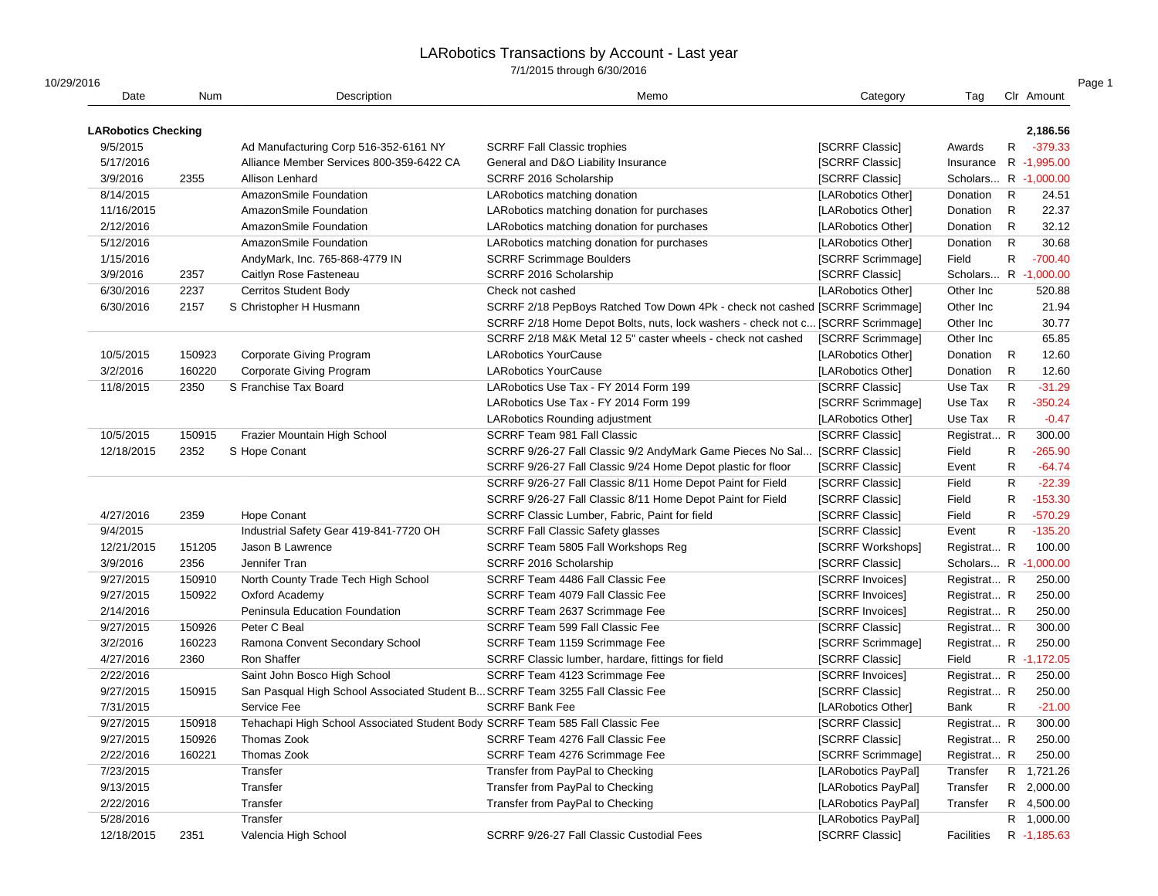| 10/29/2016                 |            |                                                                               |                                                                                 |                        |                       |              |             |
|----------------------------|------------|-------------------------------------------------------------------------------|---------------------------------------------------------------------------------|------------------------|-----------------------|--------------|-------------|
| Date                       | <b>Num</b> | Description                                                                   | Memo                                                                            | Category               | Tag                   |              | Clr Amount  |
| <b>LARobotics Checking</b> |            |                                                                               |                                                                                 |                        |                       |              | 2,186.56    |
| 9/5/2015                   |            | Ad Manufacturing Corp 516-352-6161 NY                                         | <b>SCRRF Fall Classic trophies</b>                                              | <b>ISCRRF Classic1</b> | Awards                | $\mathsf{R}$ | $-379.33$   |
| 5/17/2016                  |            | Alliance Member Services 800-359-6422 CA                                      | General and D&O Liability Insurance                                             | [SCRRF Classic]        | Insurance R -1,995.00 |              |             |
| 3/9/2016                   | 2355       | <b>Allison Lenhard</b>                                                        | SCRRF 2016 Scholarship                                                          | [SCRRF Classic]        | Scholars R -1,000.00  |              |             |
| 8/14/2015                  |            | AmazonSmile Foundation                                                        | LARobotics matching donation                                                    | [LARobotics Other]     | Donation              | $\mathsf{R}$ | 24.51       |
| 11/16/2015                 |            | AmazonSmile Foundation                                                        | LARobotics matching donation for purchases                                      | [LARobotics Other]     | Donation              | $\mathsf{R}$ | 22.37       |
| 2/12/2016                  |            | AmazonSmile Foundation                                                        | LARobotics matching donation for purchases                                      | [LARobotics Other]     | Donation              | $\mathsf{R}$ | 32.12       |
| 5/12/2016                  |            | AmazonSmile Foundation                                                        | LARobotics matching donation for purchases                                      | [LARobotics Other]     | Donation              | $\mathsf{R}$ | 30.68       |
| 1/15/2016                  |            | AndyMark, Inc. 765-868-4779 IN                                                | <b>SCRRF Scrimmage Boulders</b>                                                 | [SCRRF Scrimmage]      | Field                 | $\mathsf{R}$ | $-700.40$   |
| 3/9/2016                   | 2357       | Caitlyn Rose Fasteneau                                                        | SCRRF 2016 Scholarship                                                          | [SCRRF Classic]        | Scholars R -1,000.00  |              |             |
| 6/30/2016                  | 2237       | Cerritos Student Body                                                         | Check not cashed                                                                | [LARobotics Other]     | Other Inc             |              | 520.88      |
| 6/30/2016                  | 2157       | S Christopher H Husmann                                                       | SCRRF 2/18 PepBoys Ratched Tow Down 4Pk - check not cashed [SCRRF Scrimmage]    |                        | Other Inc             |              | 21.94       |
|                            |            |                                                                               | SCRRF 2/18 Home Depot Bolts, nuts, lock washers - check not c [SCRRF Scrimmage] |                        | Other Inc             |              | 30.77       |
|                            |            |                                                                               | SCRRF 2/18 M&K Metal 12 5" caster wheels - check not cashed                     | [SCRRF Scrimmage]      | Other Inc             |              | 65.85       |
| 10/5/2015                  | 150923     | Corporate Giving Program                                                      | <b>LARobotics YourCause</b>                                                     | [LARobotics Other]     | Donation              | $\mathsf{R}$ | 12.60       |
| 3/2/2016                   | 160220     | <b>Corporate Giving Program</b>                                               | <b>LARobotics YourCause</b>                                                     | [LARobotics Other]     | Donation              | $\mathsf{R}$ | 12.60       |
| 11/8/2015                  | 2350       | S Franchise Tax Board                                                         | LARobotics Use Tax - FY 2014 Form 199                                           | [SCRRF Classic]        | Use Tax               | $\mathsf{R}$ | $-31.29$    |
|                            |            |                                                                               | LARobotics Use Tax - FY 2014 Form 199                                           | [SCRRF Scrimmage]      | Use Tax               | $\mathsf{R}$ | $-350.24$   |
|                            |            |                                                                               | LARobotics Rounding adjustment                                                  | [LARobotics Other]     | Use Tax               | $\mathsf{R}$ | $-0.47$     |
| 10/5/2015                  | 150915     | Frazier Mountain High School                                                  | <b>SCRRF Team 981 Fall Classic</b>                                              | [SCRRF Classic]        | Registrat R           |              | 300.00      |
| 12/18/2015                 | 2352       | S Hope Conant                                                                 | SCRRF 9/26-27 Fall Classic 9/2 AndyMark Game Pieces No Sal [SCRRF Classic]      |                        | Field                 | $\mathsf{R}$ | $-265.90$   |
|                            |            |                                                                               | SCRRF 9/26-27 Fall Classic 9/24 Home Depot plastic for floor                    | [SCRRF Classic]        | Event                 | ${\sf R}$    | $-64.74$    |
|                            |            |                                                                               | SCRRF 9/26-27 Fall Classic 8/11 Home Depot Paint for Field                      | [SCRRF Classic]        | Field                 | $\mathsf{R}$ | $-22.39$    |
|                            |            |                                                                               | SCRRF 9/26-27 Fall Classic 8/11 Home Depot Paint for Field                      | [SCRRF Classic]        | Field                 | $\mathsf{R}$ | $-153.30$   |
| 4/27/2016                  | 2359       | <b>Hope Conant</b>                                                            | SCRRF Classic Lumber, Fabric, Paint for field                                   | [SCRRF Classic]        | Field                 | $\mathsf{R}$ | $-570.29$   |
| 9/4/2015                   |            | Industrial Safety Gear 419-841-7720 OH                                        | <b>SCRRF Fall Classic Safety glasses</b>                                        | [SCRRF Classic]        | Event                 | $\mathsf{R}$ | $-135.20$   |
| 12/21/2015                 | 151205     | Jason B Lawrence                                                              | SCRRF Team 5805 Fall Workshops Reg                                              | [SCRRF Workshops]      | Registrat R           |              | 100.00      |
| 3/9/2016                   | 2356       | Jennifer Tran                                                                 | SCRRF 2016 Scholarship                                                          | [SCRRF Classic]        | Scholars R -1,000.00  |              |             |
| 9/27/2015                  | 150910     | North County Trade Tech High School                                           | SCRRF Team 4486 Fall Classic Fee                                                | [SCRRF Invoices]       | Registrat R           |              | 250.00      |
| 9/27/2015                  | 150922     | Oxford Academy                                                                | SCRRF Team 4079 Fall Classic Fee                                                | [SCRRF Invoices]       | Registrat R           |              | 250.00      |
| 2/14/2016                  |            | Peninsula Education Foundation                                                | SCRRF Team 2637 Scrimmage Fee                                                   | [SCRRF Invoices]       | Registrat R           |              | 250.00      |
| 9/27/2015                  | 150926     | Peter C Beal                                                                  | SCRRF Team 599 Fall Classic Fee                                                 | [SCRRF Classic]        | Registrat R           |              | 300.00      |
| 3/2/2016                   | 160223     | Ramona Convent Secondary School                                               | SCRRF Team 1159 Scrimmage Fee                                                   | [SCRRF Scrimmage]      | Registrat R           |              | 250.00      |
| 4/27/2016                  | 2360       | Ron Shaffer                                                                   | SCRRF Classic lumber, hardare, fittings for field                               | [SCRRF Classic]        | Field                 |              | R -1,172.05 |
| 2/22/2016                  |            | Saint John Bosco High School                                                  | SCRRF Team 4123 Scrimmage Fee                                                   | [SCRRF Invoices]       | Registrat R           |              | 250.00      |
| 9/27/2015                  | 150915     | San Pasqual High School Associated Student B SCRRF Team 3255 Fall Classic Fee |                                                                                 | [SCRRF Classic]        | Registrat R           |              | 250.00      |
| 7/31/2015                  |            | Service Fee                                                                   | <b>SCRRF Bank Fee</b>                                                           | [LARobotics Other]     | Bank                  | $\mathsf{R}$ | $-21.00$    |
| 9/27/2015                  | 150918     | Tehachapi High School Associated Student Body SCRRF Team 585 Fall Classic Fee |                                                                                 | [SCRRF Classic]        | Registrat R           |              | 300.00      |
| 9/27/2015                  | 150926     | Thomas Zook                                                                   | SCRRF Team 4276 Fall Classic Fee                                                | [SCRRF Classic]        | Registrat R           |              | 250.00      |
| 2/22/2016                  | 160221     | Thomas Zook                                                                   | SCRRF Team 4276 Scrimmage Fee                                                   | [SCRRF Scrimmage]      | Registrat R           |              | 250.00      |
| 7/23/2015                  |            | Transfer                                                                      | Transfer from PayPal to Checking                                                | [LARobotics PayPal]    | Transfer              |              | R 1,721.26  |
| 9/13/2015                  |            | Transfer                                                                      | Transfer from PayPal to Checking                                                | [LARobotics PayPal]    | Transfer              |              | R 2,000.00  |
| 2/22/2016                  |            | Transfer                                                                      | Transfer from PayPal to Checking                                                | [LARobotics PayPal]    | Transfer              |              | R 4,500.00  |
| 5/28/2016                  |            | Transfer                                                                      |                                                                                 | [LARobotics PayPal]    |                       |              | R 1,000.00  |
| 12/18/2015                 | 2351       | Valencia High School                                                          | SCRRF 9/26-27 Fall Classic Custodial Fees                                       | [SCRRF Classic]        | Facilities            |              | R -1,185.63 |
|                            |            |                                                                               |                                                                                 |                        |                       |              |             |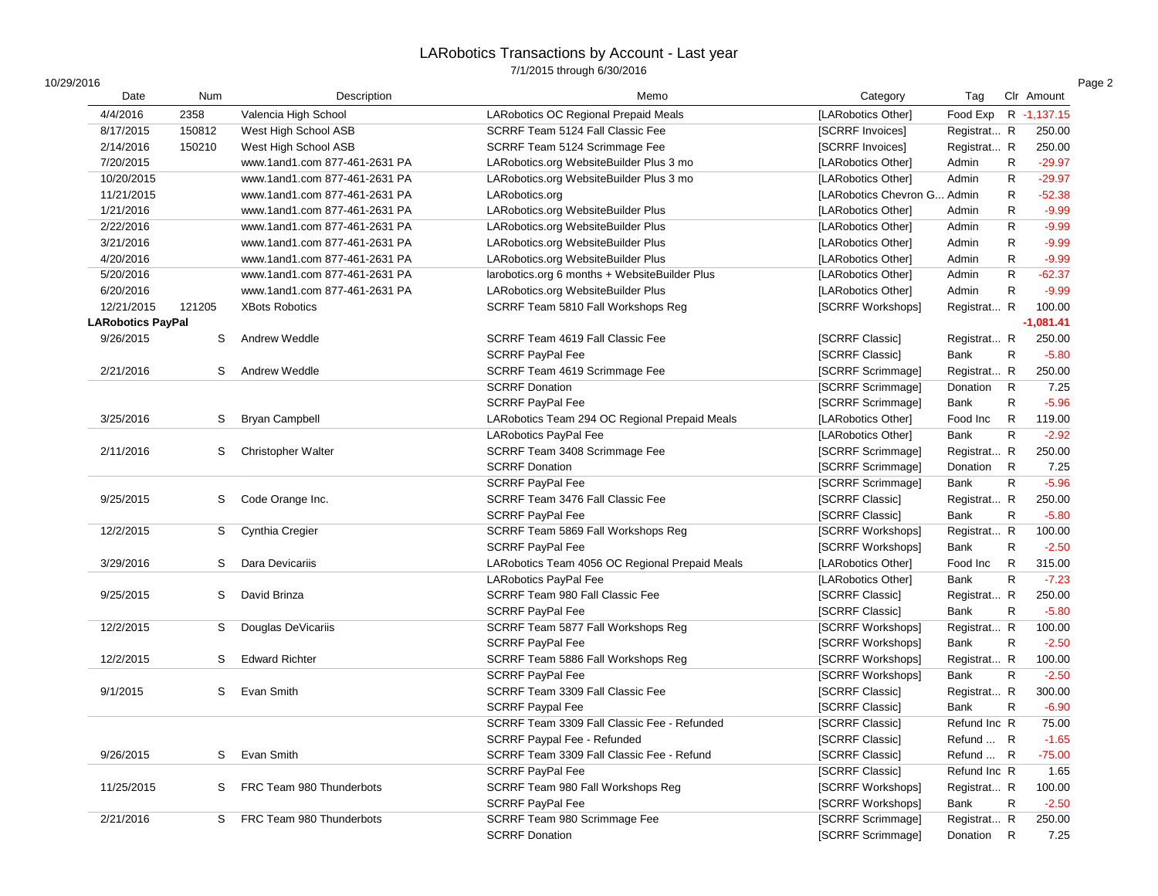|  | 10/29/2016 |  |  |
|--|------------|--|--|
|  |            |  |  |

| 10/29/2016               |            |                               |                                                |                        |              |              |             |
|--------------------------|------------|-------------------------------|------------------------------------------------|------------------------|--------------|--------------|-------------|
| Date                     | <b>Num</b> | Description                   | Memo                                           | Category               | Tag          |              | Clr Amount  |
| 4/4/2016                 | 2358       | Valencia High School          | LARobotics OC Regional Prepaid Meals           | [LARobotics Other]     | Food Exp     |              | R -1,137.15 |
| 8/17/2015                | 150812     | West High School ASB          | SCRRF Team 5124 Fall Classic Fee               | [SCRRF Invoices]       | Registrat R  |              | 250.00      |
| 2/14/2016                | 150210     | West High School ASB          | SCRRF Team 5124 Scrimmage Fee                  | [SCRRF Invoices]       | Registrat R  |              | 250.00      |
| 7/20/2015                |            | www.1and1.com 877-461-2631 PA | LARobotics.org WebsiteBuilder Plus 3 mo        | [LARobotics Other]     | Admin        | $\mathsf{R}$ | $-29.97$    |
| 10/20/2015               |            | www.1and1.com 877-461-2631 PA | LARobotics.org WebsiteBuilder Plus 3 mo        | [LARobotics Other]     | Admin        | $\mathsf{R}$ | $-29.97$    |
| 11/21/2015               |            | www.1and1.com 877-461-2631 PA | LARobotics.org                                 | [LARobotics Chevron G. | . Admin      | $\mathsf{R}$ | $-52.38$    |
| 1/21/2016                |            | www.1and1.com 877-461-2631 PA | LARobotics.org WebsiteBuilder Plus             | [LARobotics Other]     | Admin        | $\mathsf{R}$ | $-9.99$     |
| 2/22/2016                |            | www.1and1.com 877-461-2631 PA | LARobotics.org WebsiteBuilder Plus             | [LARobotics Other]     | Admin        | R            | $-9.99$     |
| 3/21/2016                |            | www.1and1.com 877-461-2631 PA | LARobotics.org WebsiteBuilder Plus             | [LARobotics Other]     | Admin        | $\mathsf{R}$ | $-9.99$     |
| 4/20/2016                |            | www.1and1.com 877-461-2631 PA | LARobotics.org WebsiteBuilder Plus             | [LARobotics Other]     | Admin        | $\mathsf{R}$ | $-9.99$     |
| 5/20/2016                |            | www.1and1.com 877-461-2631 PA | larobotics.org 6 months + WebsiteBuilder Plus  | [LARobotics Other]     | Admin        | $\mathsf{R}$ | $-62.37$    |
| 6/20/2016                |            | www.1and1.com 877-461-2631 PA | LARobotics.org WebsiteBuilder Plus             | [LARobotics Other]     | Admin        | ${\sf R}$    | $-9.99$     |
| 12/21/2015               | 121205     | <b>XBots Robotics</b>         | SCRRF Team 5810 Fall Workshops Reg             | [SCRRF Workshops]      | Registrat R  |              | 100.00      |
| <b>LARobotics PayPal</b> |            |                               |                                                |                        |              |              | $-1,081.41$ |
| 9/26/2015                | S          | Andrew Weddle                 | SCRRF Team 4619 Fall Classic Fee               | [SCRRF Classic]        | Registrat R  |              | 250.00      |
|                          |            |                               | <b>SCRRF PayPal Fee</b>                        | [SCRRF Classic]        | Bank         | $\mathsf{R}$ | $-5.80$     |
| 2/21/2016                | S          | Andrew Weddle                 | SCRRF Team 4619 Scrimmage Fee                  | [SCRRF Scrimmage]      | Registrat R  |              | 250.00      |
|                          |            |                               | <b>SCRRF Donation</b>                          | [SCRRF Scrimmage]      | Donation     | $\mathsf{R}$ | 7.25        |
|                          |            |                               | <b>SCRRF PayPal Fee</b>                        | [SCRRF Scrimmage]      | Bank         | $\mathsf{R}$ | $-5.96$     |
| 3/25/2016                | S          | <b>Bryan Campbell</b>         | LARobotics Team 294 OC Regional Prepaid Meals  | [LARobotics Other]     | Food Inc     | $\mathsf{R}$ | 119.00      |
|                          |            |                               | LARobotics PayPal Fee                          | [LARobotics Other]     | <b>Bank</b>  | $\mathsf{R}$ | $-2.92$     |
| 2/11/2016                | S          | <b>Christopher Walter</b>     | SCRRF Team 3408 Scrimmage Fee                  | [SCRRF Scrimmage]      | Registrat R  |              | 250.00      |
|                          |            |                               | <b>SCRRF Donation</b>                          | [SCRRF Scrimmage]      | Donation     | $\mathsf{R}$ | 7.25        |
|                          |            |                               | SCRRF PayPal Fee                               | [SCRRF Scrimmage]      | Bank         | $\mathsf{R}$ | $-5.96$     |
| 9/25/2015                | S          | Code Orange Inc.              | SCRRF Team 3476 Fall Classic Fee               | [SCRRF Classic]        | Registrat R  |              | 250.00      |
|                          |            |                               | <b>SCRRF PayPal Fee</b>                        | [SCRRF Classic]        | Bank         | $\mathsf{R}$ | $-5.80$     |
| 12/2/2015                | S          | Cynthia Cregier               | SCRRF Team 5869 Fall Workshops Reg             | [SCRRF Workshops]      | Registrat R  |              | 100.00      |
|                          |            |                               | <b>SCRRF PayPal Fee</b>                        | [SCRRF Workshops]      | Bank         | R            | $-2.50$     |
| 3/29/2016                | S          | Dara Devicariis               | LARobotics Team 4056 OC Regional Prepaid Meals | [LARobotics Other]     | Food Inc     | $\mathsf{R}$ | 315.00      |
|                          |            |                               | LARobotics PayPal Fee                          | [LARobotics Other]     | Bank         | $\mathsf{R}$ | $-7.23$     |
| 9/25/2015                | S          | David Brinza                  | SCRRF Team 980 Fall Classic Fee                | [SCRRF Classic]        | Registrat R  |              | 250.00      |
|                          |            |                               | <b>SCRRF PayPal Fee</b>                        | <b>ISCRRF Classic1</b> | Bank         | $\mathsf{R}$ | $-5.80$     |
| 12/2/2015                | S          | Douglas DeVicariis            | SCRRF Team 5877 Fall Workshops Reg             | [SCRRF Workshops]      | Registrat R  |              | 100.00      |
|                          |            |                               | <b>SCRRF PayPal Fee</b>                        | [SCRRF Workshops]      | Bank         | $\mathsf{R}$ | $-2.50$     |
| 12/2/2015                | S          | <b>Edward Richter</b>         | SCRRF Team 5886 Fall Workshops Reg             | [SCRRF Workshops]      | Registrat R  |              | 100.00      |
|                          |            |                               | <b>SCRRF PayPal Fee</b>                        | [SCRRF Workshops]      | Bank         | $\mathsf{R}$ | $-2.50$     |
| 9/1/2015                 | S          | Evan Smith                    | SCRRF Team 3309 Fall Classic Fee               | [SCRRF Classic]        | Registrat R  |              | 300.00      |
|                          |            |                               | <b>SCRRF Paypal Fee</b>                        | [SCRRF Classic]        | Bank         | $\mathsf{R}$ | $-6.90$     |
|                          |            |                               |                                                |                        |              |              |             |
|                          |            |                               | SCRRF Team 3309 Fall Classic Fee - Refunded    | [SCRRF Classic]        | Refund Inc R |              | 75.00       |
|                          |            |                               | <b>SCRRF Paypal Fee - Refunded</b>             | [SCRRF Classic]        | Refund  R    |              | $-1.65$     |
| 9/26/2015                | S          | Evan Smith                    | SCRRF Team 3309 Fall Classic Fee - Refund      | [SCRRF Classic]        | Refund  R    |              | $-75.00$    |
|                          |            |                               | <b>SCRRF PayPal Fee</b>                        | [SCRRF Classic]        | Refund Inc R |              | 1.65        |
| 11/25/2015               | S          | FRC Team 980 Thunderbots      | SCRRF Team 980 Fall Workshops Reg              | [SCRRF Workshops]      | Registrat R  |              | 100.00      |
|                          |            |                               | <b>SCRRF PayPal Fee</b>                        | [SCRRF Workshops]      | Bank         | R            | $-2.50$     |
| 2/21/2016                | S.         | FRC Team 980 Thunderbots      | SCRRF Team 980 Scrimmage Fee                   | [SCRRF Scrimmage]      | Registrat R  |              | 250.00      |
|                          |            |                               | <b>SCRRF Donation</b>                          | [SCRRF Scrimmage]      | Donation     | $\mathsf{R}$ | 7.25        |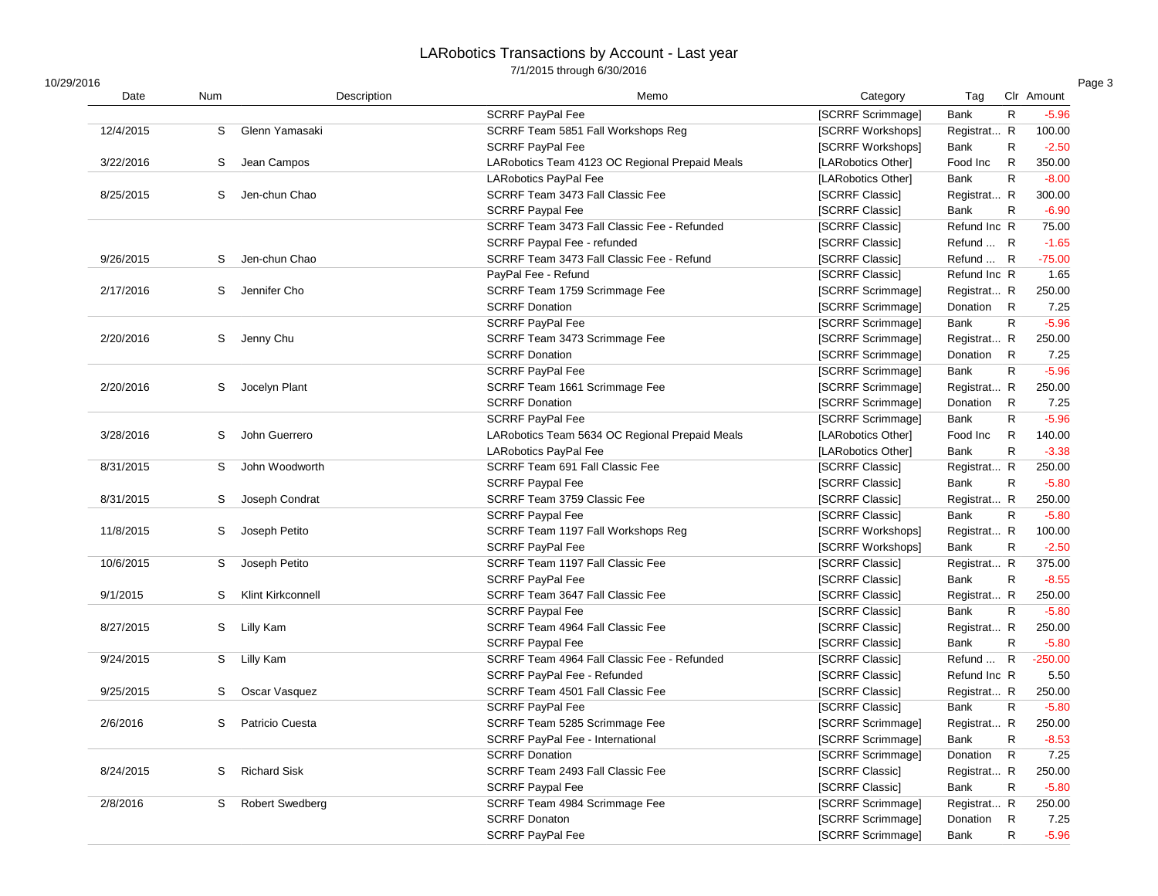| 10/29/2016 |  |  |
|------------|--|--|
|            |  |  |

| 10/29/2016 |            |                          |                                                |                    |              |              |            |
|------------|------------|--------------------------|------------------------------------------------|--------------------|--------------|--------------|------------|
| Date       | <b>Num</b> | Description              | Memo                                           | Category           | Tag          |              | Clr Amount |
|            |            |                          | <b>SCRRF PayPal Fee</b>                        | [SCRRF Scrimmage]  | Bank         | $\mathsf{R}$ | $-5.96$    |
| 12/4/2015  | S          | Glenn Yamasaki           | SCRRF Team 5851 Fall Workshops Reg             | [SCRRF Workshops]  | Registrat R  |              | 100.00     |
|            |            |                          | <b>SCRRF PayPal Fee</b>                        | [SCRRF Workshops]  | Bank         | $\mathsf{R}$ | $-2.50$    |
| 3/22/2016  | S          | Jean Campos              | LARobotics Team 4123 OC Regional Prepaid Meals | [LARobotics Other] | Food Inc     | $\mathsf{R}$ | 350.00     |
|            |            |                          | LARobotics PayPal Fee                          | [LARobotics Other] | Bank         | $\mathsf{R}$ | $-8.00$    |
| 8/25/2015  | S          | Jen-chun Chao            | SCRRF Team 3473 Fall Classic Fee               | [SCRRF Classic]    | Registrat R  |              | 300.00     |
|            |            |                          | <b>SCRRF Paypal Fee</b>                        | [SCRRF Classic]    | Bank         | $\mathsf{R}$ | $-6.90$    |
|            |            |                          | SCRRF Team 3473 Fall Classic Fee - Refunded    | [SCRRF Classic]    | Refund Inc R |              | 75.00      |
|            |            |                          | SCRRF Paypal Fee - refunded                    | [SCRRF Classic]    | Refund  R    |              | $-1.65$    |
| 9/26/2015  | S          | Jen-chun Chao            | SCRRF Team 3473 Fall Classic Fee - Refund      | [SCRRF Classic]    | Refund  R    |              | $-75.00$   |
|            |            |                          | PayPal Fee - Refund                            | [SCRRF Classic]    | Refund Inc R |              | 1.65       |
| 2/17/2016  | S          | Jennifer Cho             | SCRRF Team 1759 Scrimmage Fee                  | [SCRRF Scrimmage]  | Registrat R  |              | 250.00     |
|            |            |                          | <b>SCRRF Donation</b>                          | [SCRRF Scrimmage]  | Donation     | R            | 7.25       |
|            |            |                          | <b>SCRRF PayPal Fee</b>                        | [SCRRF Scrimmage]  | Bank         | $\mathsf{R}$ | $-5.96$    |
| 2/20/2016  | S          | Jenny Chu                | SCRRF Team 3473 Scrimmage Fee                  | [SCRRF Scrimmage]  | Registrat R  |              | 250.00     |
|            |            |                          | <b>SCRRF Donation</b>                          | [SCRRF Scrimmage]  | Donation     | $\mathsf{R}$ | 7.25       |
|            |            |                          | <b>SCRRF PayPal Fee</b>                        | [SCRRF Scrimmage]  | Bank         | $\mathsf{R}$ | $-5.96$    |
| 2/20/2016  | S          | Jocelyn Plant            | SCRRF Team 1661 Scrimmage Fee                  | [SCRRF Scrimmage]  | Registrat R  |              | 250.00     |
|            |            |                          | <b>SCRRF Donation</b>                          | [SCRRF Scrimmage]  | Donation     | R            | 7.25       |
|            |            |                          | <b>SCRRF PayPal Fee</b>                        | [SCRRF Scrimmage]  | Bank         | $\mathsf{R}$ | $-5.96$    |
| 3/28/2016  | S          | John Guerrero            | LARobotics Team 5634 OC Regional Prepaid Meals | [LARobotics Other] | Food Inc     | R            | 140.00     |
|            |            |                          | LARobotics PayPal Fee                          | [LARobotics Other] | <b>Bank</b>  | $\mathsf{R}$ | $-3.38$    |
| 8/31/2015  | S          | John Woodworth           | SCRRF Team 691 Fall Classic Fee                | [SCRRF Classic]    | Registrat R  |              | 250.00     |
|            |            |                          | <b>SCRRF Paypal Fee</b>                        | [SCRRF Classic]    | Bank         | $\mathsf{R}$ | $-5.80$    |
| 8/31/2015  | S          | Joseph Condrat           | SCRRF Team 3759 Classic Fee                    | [SCRRF Classic]    | Registrat R  |              | 250.00     |
|            |            |                          | <b>SCRRF Paypal Fee</b>                        | [SCRRF Classic]    | Bank         | R            | $-5.80$    |
| 11/8/2015  | S          | Joseph Petito            | SCRRF Team 1197 Fall Workshops Reg             | [SCRRF Workshops]  | Registrat R  |              | 100.00     |
|            |            |                          | <b>SCRRF PayPal Fee</b>                        | [SCRRF Workshops]  | Bank         | R            | $-2.50$    |
| 10/6/2015  | S          | Joseph Petito            | SCRRF Team 1197 Fall Classic Fee               | [SCRRF Classic]    | Registrat R  |              | 375.00     |
|            |            |                          | <b>SCRRF PayPal Fee</b>                        | [SCRRF Classic]    | Bank         | R            | $-8.55$    |
| 9/1/2015   | S          | <b>Klint Kirkconnell</b> | SCRRF Team 3647 Fall Classic Fee               | [SCRRF Classic]    | Registrat R  |              | 250.00     |
|            |            |                          | <b>SCRRF Paypal Fee</b>                        | [SCRRF Classic]    | Bank         | R            | $-5.80$    |
| 8/27/2015  | S          | Lilly Kam                | SCRRF Team 4964 Fall Classic Fee               | [SCRRF Classic]    | Registrat R  |              | 250.00     |
|            |            |                          | <b>SCRRF Paypal Fee</b>                        | [SCRRF Classic]    | Bank         | $\mathsf{R}$ | $-5.80$    |
| 9/24/2015  | S          | Lilly Kam                | SCRRF Team 4964 Fall Classic Fee - Refunded    | [SCRRF Classic]    | Refund  R    |              | $-250.00$  |
|            |            |                          | <b>SCRRF PayPal Fee - Refunded</b>             | [SCRRF Classic]    | Refund Inc R |              | 5.50       |
| 9/25/2015  | S          | Oscar Vasquez            | SCRRF Team 4501 Fall Classic Fee               | [SCRRF Classic]    | Registrat R  |              | 250.00     |
|            |            |                          | <b>SCRRF PayPal Fee</b>                        | [SCRRF Classic]    | Bank         | R            | $-5.80$    |
| 2/6/2016   | S          | Patricio Cuesta          | SCRRF Team 5285 Scrimmage Fee                  | [SCRRF Scrimmage]  | Registrat R  |              | 250.00     |
|            |            |                          | SCRRF PayPal Fee - International               | [SCRRF Scrimmage]  | Bank         | R            | $-8.53$    |
|            |            |                          | <b>SCRRF Donation</b>                          | [SCRRF Scrimmage]  | Donation R   |              | 7.25       |
| 8/24/2015  | S          | <b>Richard Sisk</b>      | SCRRF Team 2493 Fall Classic Fee               | [SCRRF Classic]    | Registrat R  |              | 250.00     |
|            |            |                          |                                                |                    | Bank         | $\mathsf{R}$ |            |
| 2/8/2016   | S          |                          | <b>SCRRF Paypal Fee</b>                        | [SCRRF Classic]    | Registrat R  |              | $-5.80$    |
|            |            | <b>Robert Swedberg</b>   | SCRRF Team 4984 Scrimmage Fee                  | [SCRRF Scrimmage]  |              |              | 250.00     |
|            |            |                          | <b>SCRRF Donaton</b>                           | [SCRRF Scrimmage]  | Donation     | R            | 7.25       |
|            |            |                          | <b>SCRRF PayPal Fee</b>                        | [SCRRF Scrimmage]  | Bank         | R            | $-5.96$    |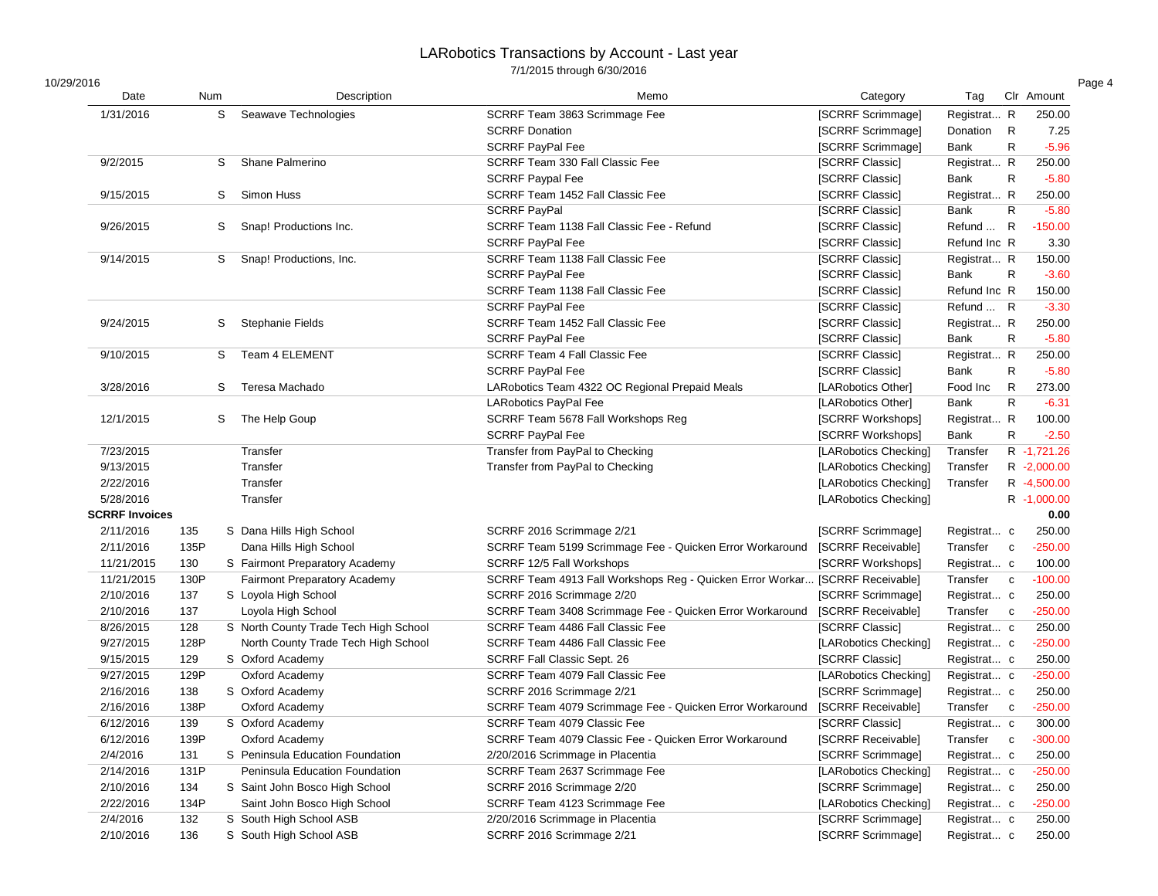| 10/29/2016            |      |                                       |                                                                              |                       |              |              |             |
|-----------------------|------|---------------------------------------|------------------------------------------------------------------------------|-----------------------|--------------|--------------|-------------|
| Date                  | Num  | Description                           | Memo                                                                         | Category              | Tag          |              | Clr Amount  |
| 1/31/2016             | S    | Seawave Technologies                  | SCRRF Team 3863 Scrimmage Fee                                                | [SCRRF Scrimmage]     | Registrat R  |              | 250.00      |
|                       |      |                                       | <b>SCRRF Donation</b>                                                        | [SCRRF Scrimmage]     | Donation     | $\mathsf{R}$ | 7.25        |
|                       |      |                                       | <b>SCRRF PayPal Fee</b>                                                      | [SCRRF Scrimmage]     | Bank         | $\mathsf{R}$ | $-5.96$     |
| 9/2/2015              | S    | Shane Palmerino                       | SCRRF Team 330 Fall Classic Fee                                              | [SCRRF Classic]       | Registrat R  |              | 250.00      |
|                       |      |                                       | <b>SCRRF Paypal Fee</b>                                                      | [SCRRF Classic]       | Bank         | $\mathsf{R}$ | $-5.80$     |
| 9/15/2015             | S    | Simon Huss                            | SCRRF Team 1452 Fall Classic Fee                                             | [SCRRF Classic]       | Registrat R  |              | 250.00      |
|                       |      |                                       | <b>SCRRF PayPal</b>                                                          | [SCRRF Classic]       | Bank         | ${\sf R}$    | $-5.80$     |
| 9/26/2015             | S    | Snap! Productions Inc.                | SCRRF Team 1138 Fall Classic Fee - Refund                                    | [SCRRF Classic]       | Refund  R    |              | $-150.00$   |
|                       |      |                                       | SCRRF PayPal Fee                                                             | [SCRRF Classic]       | Refund Inc R |              | 3.30        |
| 9/14/2015             | S    | Snap! Productions, Inc.               | SCRRF Team 1138 Fall Classic Fee                                             | [SCRRF Classic]       | Registrat R  |              | 150.00      |
|                       |      |                                       | <b>SCRRF PayPal Fee</b>                                                      | [SCRRF Classic]       | Bank         | $\mathsf{R}$ | $-3.60$     |
|                       |      |                                       | SCRRF Team 1138 Fall Classic Fee                                             | [SCRRF Classic]       | Refund Inc R |              | 150.00      |
|                       |      |                                       | <b>SCRRF PayPal Fee</b>                                                      | [SCRRF Classic]       | Refund  R    |              | $-3.30$     |
| 9/24/2015             | S    | Stephanie Fields                      | SCRRF Team 1452 Fall Classic Fee                                             | [SCRRF Classic]       | Registrat R  |              | 250.00      |
|                       |      |                                       | <b>SCRRF PayPal Fee</b>                                                      | [SCRRF Classic]       | Bank         | $\mathsf{R}$ | $-5.80$     |
| 9/10/2015             | S    | <b>Team 4 ELEMENT</b>                 | SCRRF Team 4 Fall Classic Fee                                                | [SCRRF Classic]       | Registrat R  |              | 250.00      |
|                       |      |                                       | SCRRF PayPal Fee                                                             | [SCRRF Classic]       | Bank         | R            | $-5.80$     |
| 3/28/2016             | S    | Teresa Machado                        | LARobotics Team 4322 OC Regional Prepaid Meals                               | [LARobotics Other]    | Food Inc     | R            | 273.00      |
|                       |      |                                       | LARobotics PayPal Fee                                                        | [LARobotics Other]    | Bank         | $\mathsf{R}$ | $-6.31$     |
| 12/1/2015             | S    | The Help Goup                         | SCRRF Team 5678 Fall Workshops Reg                                           | [SCRRF Workshops]     | Registrat R  |              | 100.00      |
|                       |      |                                       | <b>SCRRF PayPal Fee</b>                                                      | [SCRRF Workshops]     | Bank         | R            | $-2.50$     |
| 7/23/2015             |      | Transfer                              | Transfer from PayPal to Checking                                             | [LARobotics Checking] | Transfer     |              | R -1,721.26 |
| 9/13/2015             |      | Transfer                              | Transfer from PayPal to Checking                                             | [LARobotics Checking] | Transfer     |              | R -2,000.00 |
| 2/22/2016             |      | Transfer                              |                                                                              | [LARobotics Checking] | Transfer     |              | R -4,500.00 |
| 5/28/2016             |      | Transfer                              |                                                                              | [LARobotics Checking] |              |              | R -1,000.00 |
| <b>SCRRF Invoices</b> |      |                                       |                                                                              |                       |              |              | 0.00        |
| 2/11/2016             | 135  | S Dana Hills High School              | SCRRF 2016 Scrimmage 2/21                                                    | [SCRRF Scrimmage]     | Registrat c  |              | 250.00      |
| 2/11/2016             | 135P | Dana Hills High School                | SCRRF Team 5199 Scrimmage Fee - Quicken Error Workaround                     | [SCRRF Receivable]    | Transfer     | $\mathbf c$  | $-250.00$   |
| 11/21/2015            | 130  | S Fairmont Preparatory Academy        | SCRRF 12/5 Fall Workshops                                                    | [SCRRF Workshops]     | Registrat c  |              | 100.00      |
| 11/21/2015            | 130P | Fairmont Preparatory Academy          | SCRRF Team 4913 Fall Workshops Reg - Quicken Error Workar [SCRRF Receivable] |                       | Transfer     | $\mathbf{C}$ | $-100.00$   |
| 2/10/2016             | 137  | S Loyola High School                  | SCRRF 2016 Scrimmage 2/20                                                    | [SCRRF Scrimmage]     | Registrat c  |              | 250.00      |
| 2/10/2016             | 137  | Loyola High School                    | SCRRF Team 3408 Scrimmage Fee - Quicken Error Workaround                     | [SCRRF Receivable]    | Transfer     | $\mathbf{C}$ | $-250.00$   |
| 8/26/2015             | 128  | S North County Trade Tech High School | SCRRF Team 4486 Fall Classic Fee                                             | [SCRRF Classic]       | Registrat c  |              | 250.00      |
| 9/27/2015             | 128P | North County Trade Tech High School   | SCRRF Team 4486 Fall Classic Fee                                             | [LARobotics Checking] | Registrat c  |              | $-250.00$   |
| 9/15/2015             | 129  | S Oxford Academy                      | SCRRF Fall Classic Sept. 26                                                  | [SCRRF Classic]       | Registrat c  |              | 250.00      |
| 9/27/2015             | 129P | Oxford Academy                        | SCRRF Team 4079 Fall Classic Fee                                             | [LARobotics Checking] | Registrat c  |              | $-250.00$   |
| 2/16/2016             | 138  | S Oxford Academy                      | SCRRF 2016 Scrimmage 2/21                                                    | [SCRRF Scrimmage]     | Registrat c  |              | 250.00      |
| 2/16/2016             | 138P | Oxford Academy                        | SCRRF Team 4079 Scrimmage Fee - Quicken Error Workaround                     | [SCRRF Receivable]    | Transfer     | $\mathbf c$  | $-250.00$   |
| 6/12/2016             | 139  | S Oxford Academy                      | SCRRF Team 4079 Classic Fee                                                  | [SCRRF Classic]       | Registrat c  |              | 300.00      |
| 6/12/2016             | 139P | Oxford Academy                        | SCRRF Team 4079 Classic Fee - Quicken Error Workaround                       | [SCRRF Receivable]    | Transfer c   |              | $-300.00$   |
| 2/4/2016              | 131  | S Peninsula Education Foundation      | 2/20/2016 Scrimmage in Placentia                                             | [SCRRF Scrimmage]     | Registrat c  |              | 250.00      |
| 2/14/2016             | 131P | Peninsula Education Foundation        | SCRRF Team 2637 Scrimmage Fee                                                | [LARobotics Checking] | Registrat c  |              | $-250.00$   |
| 2/10/2016             | 134  | S Saint John Bosco High School        | SCRRF 2016 Scrimmage 2/20                                                    | [SCRRF Scrimmage]     | Registrat c  |              | 250.00      |
| 2/22/2016             | 134P | Saint John Bosco High School          | SCRRF Team 4123 Scrimmage Fee                                                | [LARobotics Checking] | Registrat c  |              | $-250.00$   |
| 2/4/2016              | 132  | S South High School ASB               | 2/20/2016 Scrimmage in Placentia                                             | [SCRRF Scrimmage]     | Registrat c  |              | 250.00      |
| 2/10/2016             | 136  | S South High School ASB               | SCRRF 2016 Scrimmage 2/21                                                    | [SCRRF Scrimmage]     | Registrat c  |              | 250.00      |
|                       |      |                                       |                                                                              |                       |              |              |             |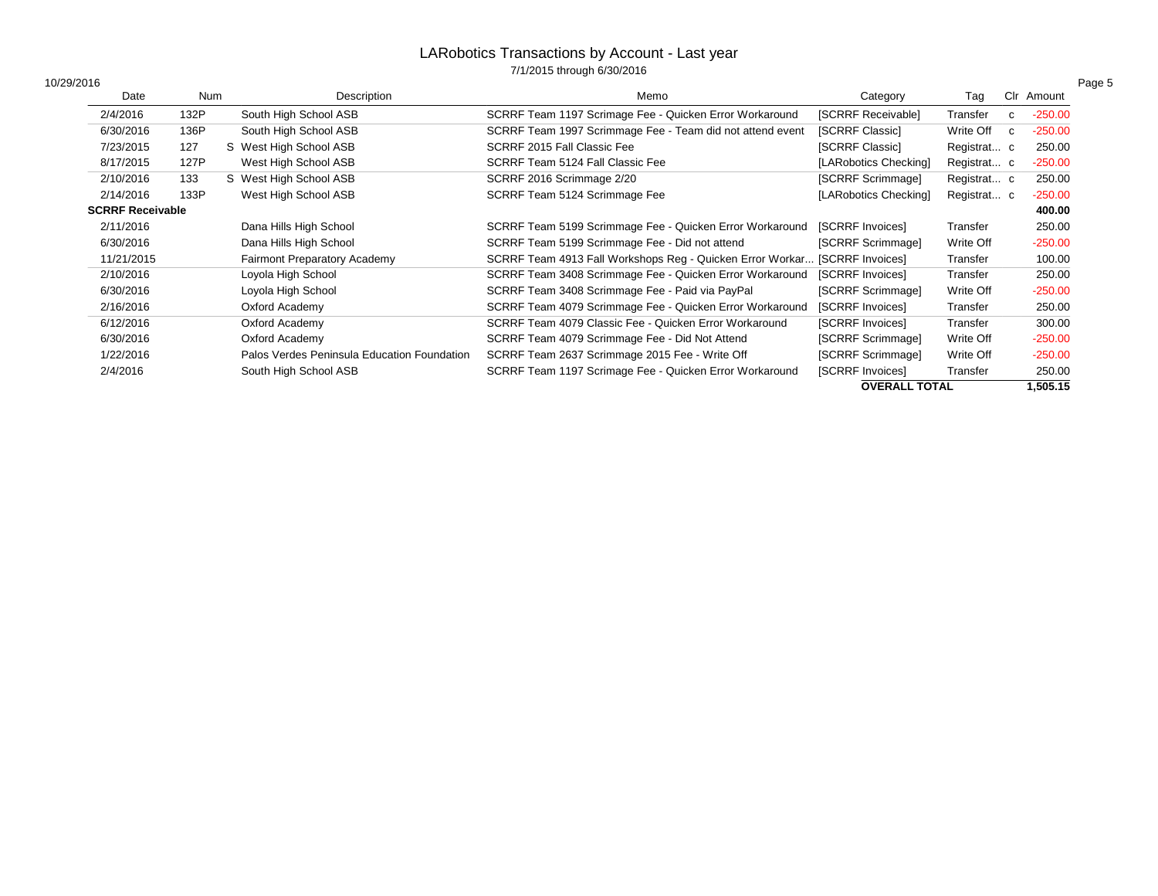| 10/29/2016              |      |                                             |                                                                            |                       |             |              |           |
|-------------------------|------|---------------------------------------------|----------------------------------------------------------------------------|-----------------------|-------------|--------------|-----------|
| Date                    | Num  | Description                                 | Memo                                                                       | Category              | Tag         | Clr          | Amount    |
| 2/4/2016                | 132P | South High School ASB                       | SCRRF Team 1197 Scrimage Fee - Quicken Error Workaround                    | [SCRRF Receivable]    | Transfer    | $\mathbf{C}$ | $-250.00$ |
| 6/30/2016               | 136P | South High School ASB                       | SCRRF Team 1997 Scrimmage Fee - Team did not attend event                  | [SCRRF Classic]       | Write Off   | $\mathbf{C}$ | $-250.00$ |
| 7/23/2015               | 127  | S West High School ASB                      | SCRRF 2015 Fall Classic Fee                                                | [SCRRF Classic]       | Registrat c |              | 250.00    |
| 8/17/2015               | 127P | West High School ASB                        | SCRRF Team 5124 Fall Classic Fee                                           | [LARobotics Checking] | Registrat c |              | $-250.00$ |
| 2/10/2016               | 133  | S West High School ASB                      | SCRRF 2016 Scrimmage 2/20                                                  | [SCRRF Scrimmage]     | Registrat c |              | 250.00    |
| 2/14/2016               | 133P | West High School ASB                        | SCRRF Team 5124 Scrimmage Fee                                              | [LARobotics Checking] | Registrat c |              | $-250.00$ |
| <b>SCRRF Receivable</b> |      |                                             |                                                                            |                       |             |              | 400.00    |
| 2/11/2016               |      | Dana Hills High School                      | SCRRF Team 5199 Scrimmage Fee - Quicken Error Workaround                   | [SCRRF Invoices]      | Transfer    |              | 250.00    |
| 6/30/2016               |      | Dana Hills High School                      | SCRRF Team 5199 Scrimmage Fee - Did not attend                             | [SCRRF Scrimmage]     | Write Off   |              | $-250.00$ |
| 11/21/2015              |      | <b>Fairmont Preparatory Academy</b>         | SCRRF Team 4913 Fall Workshops Reg - Quicken Error Workar [SCRRF Invoices] |                       | Transfer    |              | 100.00    |
| 2/10/2016               |      | Loyola High School                          | SCRRF Team 3408 Scrimmage Fee - Quicken Error Workaround                   | [SCRRF Invoices]      | Transfer    |              | 250.00    |
| 6/30/2016               |      | Loyola High School                          | SCRRF Team 3408 Scrimmage Fee - Paid via PayPal                            | [SCRRF Scrimmage]     | Write Off   |              | $-250.00$ |
| 2/16/2016               |      | Oxford Academy                              | SCRRF Team 4079 Scrimmage Fee - Quicken Error Workaround                   | [SCRRF Invoices]      | Transfer    |              | 250.00    |
| 6/12/2016               |      | Oxford Academy                              | SCRRF Team 4079 Classic Fee - Quicken Error Workaround                     | [SCRRF Invoices]      | Transfer    |              | 300.00    |
| 6/30/2016               |      | Oxford Academy                              | SCRRF Team 4079 Scrimmage Fee - Did Not Attend                             | [SCRRF Scrimmage]     | Write Off   |              | $-250.00$ |
| 1/22/2016               |      | Palos Verdes Peninsula Education Foundation | SCRRF Team 2637 Scrimmage 2015 Fee - Write Off                             | [SCRRF Scrimmage]     | Write Off   |              | $-250.00$ |
| 2/4/2016                |      | South High School ASB                       | SCRRF Team 1197 Scrimage Fee - Quicken Error Workaround                    | [SCRRF Invoices]      | Transfer    |              | 250.00    |
|                         |      |                                             |                                                                            | <b>OVERALL TOTAL</b>  |             |              | 1,505.15  |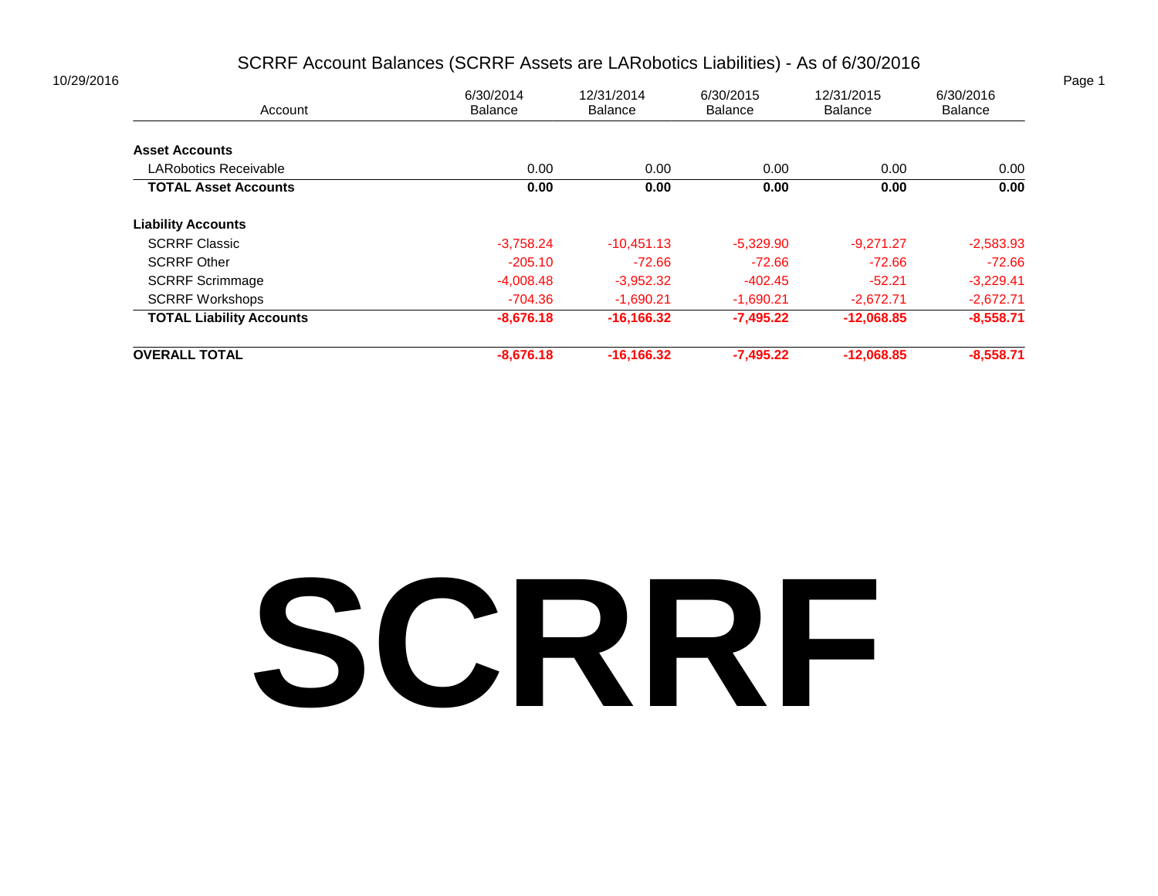#### SCRRF Account Balances (SCRRF Assets are LARobotics Liabilities) - As of 6/30/2016

| 6/30/2014   | 12/31/2014                    | 6/30/2015                      | 12/31/2015                    | 6/30/2016<br><b>Balance</b> |  |
|-------------|-------------------------------|--------------------------------|-------------------------------|-----------------------------|--|
|             |                               |                                |                               |                             |  |
|             |                               |                                |                               |                             |  |
| 0.00        | 0.00                          | 0.00                           | 0.00                          | 0.00                        |  |
| 0.00        | 0.00                          | 0.00                           | 0.00                          | 0.00                        |  |
|             |                               |                                |                               |                             |  |
| $-3,758.24$ | $-10,451.13$                  | $-5,329.90$                    | $-9,271.27$                   | $-2,583.93$                 |  |
| $-205.10$   | $-72.66$                      | $-72.66$                       | $-72.66$                      | $-72.66$                    |  |
| $-4,008.48$ | $-3,952.32$                   | $-402.45$                      | $-52.21$                      | $-3,229.41$                 |  |
| -704.36     | $-1,690.21$                   | $-1,690.21$                    | $-2,672.71$                   | $-2,672.71$                 |  |
| $-8,676.18$ | $-16,166.32$                  | $-7,495.22$                    | $-12,068.85$                  | $-8,558.71$                 |  |
|             |                               |                                |                               | $-8,558.71$                 |  |
|             | <b>Balance</b><br>$-8,676.18$ | <b>Balance</b><br>$-16,166.32$ | <b>Balance</b><br>$-7,495.22$ | Balance<br>$-12,068.85$     |  |

# **SCRRF**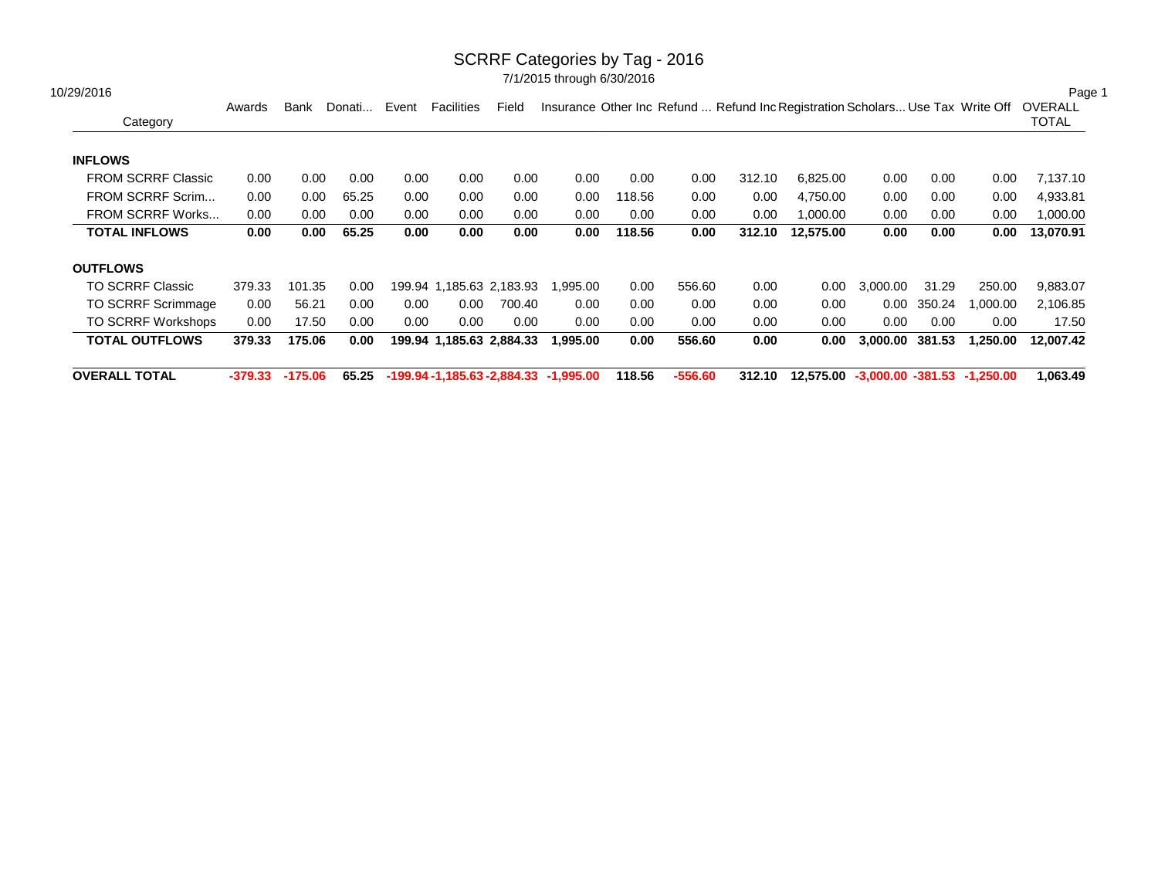#### SCRRF Categories by Tag - 2016

| 10/29/2016                |         | Bank      | Donati | Event | Facilities               | Field  |                                            |        |           |        |                                                                                |          |        |          | Page 1<br>OVERALL |
|---------------------------|---------|-----------|--------|-------|--------------------------|--------|--------------------------------------------|--------|-----------|--------|--------------------------------------------------------------------------------|----------|--------|----------|-------------------|
| Category                  | Awards  |           |        |       |                          |        |                                            |        |           |        | Insurance Other Inc Refund  Refund Inc Registration Scholars Use Tax Write Off |          |        |          | <b>TOTAL</b>      |
| <b>INFLOWS</b>            |         |           |        |       |                          |        |                                            |        |           |        |                                                                                |          |        |          |                   |
| <b>FROM SCRRF Classic</b> | 0.00    | 0.00      | 0.00   | 0.00  | 0.00                     | 0.00   | 0.00                                       | 0.00   | 0.00      | 312.10 | 6,825.00                                                                       | 0.00     | 0.00   | 0.00     | 7,137.10          |
| FROM SCRRF Scrim          | 0.00    | 0.00      | 65.25  | 0.00  | 0.00                     | 0.00   | 0.00                                       | 118.56 | 0.00      | 0.00   | 4,750.00                                                                       | 0.00     | 0.00   | 0.00     | 4,933.81          |
| FROM SCRRF Works          | 0.00    | 0.00      | 0.00   | 0.00  | 0.00                     | 0.00   | 0.00                                       | 0.00   | 0.00      | 0.00   | 1,000.00                                                                       | 0.00     | 0.00   | 0.00     | 1,000.00          |
| <b>TOTAL INFLOWS</b>      | 0.00    | 0.00      | 65.25  | 0.00  | 0.00                     | 0.00   | 0.00                                       | 118.56 | 0.00      | 312.10 | 12,575.00                                                                      | 0.00     | 0.00   | 0.00     | 13,070.91         |
| <b>OUTFLOWS</b>           |         |           |        |       |                          |        |                                            |        |           |        |                                                                                |          |        |          |                   |
| <b>TO SCRRF Classic</b>   | 379.33  | 101.35    | 0.00   |       | 199.94 1.185.63 2.183.93 |        | 1.995.00                                   | 0.00   | 556.60    | 0.00   | 0.00                                                                           | 3.000.00 | 31.29  | 250.00   | 9,883.07          |
| <b>TO SCRRF Scrimmage</b> | 0.00    | 56.21     | 0.00   | 0.00  | 0.00                     | 700.40 | 0.00                                       | 0.00   | 0.00      | 0.00   | 0.00                                                                           | 0.00     | 350.24 | 1,000.00 | 2,106.85          |
| <b>TO SCRRF Workshops</b> | 0.00    | 17.50     | 0.00   | 0.00  | 0.00                     | 0.00   | 0.00                                       | 0.00   | 0.00      | 0.00   | 0.00                                                                           | 0.00     | 0.00   | 0.00     | 17.50             |
| <b>TOTAL OUTFLOWS</b>     | 379.33  | 175.06    | 0.00   |       | 199.94 1,185.63 2,884.33 |        | 1,995.00                                   | 0.00   | 556.60    | 0.00   | 0.00                                                                           | 3.000.00 | 381.53 | 1,250.00 | 12.007.42         |
| <b>OVERALL TOTAL</b>      | -379.33 | $-175.06$ | 65.25  |       |                          |        | $-199.94 - 1,185.63 - 2,884.33 - 1,995.00$ | 118.56 | $-556.60$ | 312.10 | 12,575.00 -3,000.00 -381.53 -1,250.00                                          |          |        |          | 1,063.49          |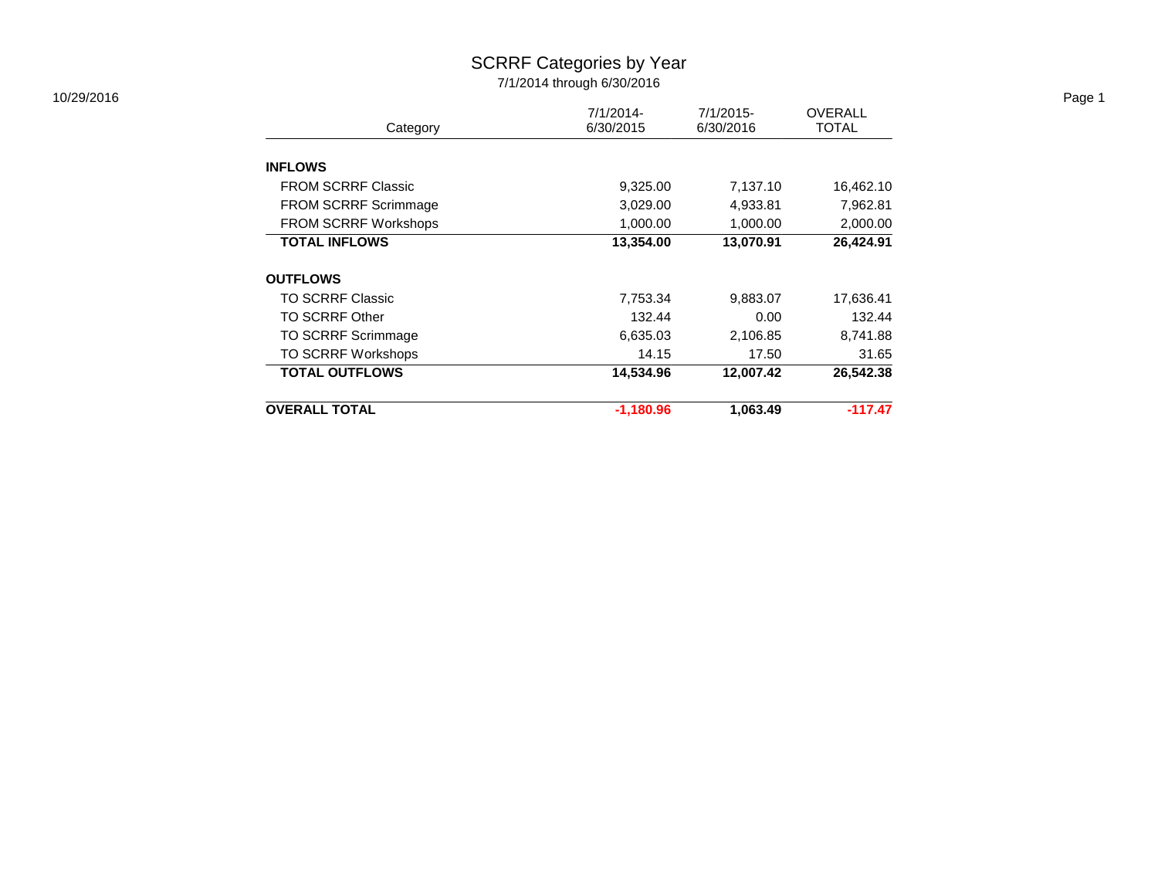#### SCRRF Categories by Year 7/1/2014 through 6/30/2016

|                           |                            |              |                | Page 1       |
|---------------------------|----------------------------|--------------|----------------|--------------|
|                           | $7/1/2014$ -               | $7/1/2015$ - | <b>OVERALL</b> |              |
|                           |                            |              |                |              |
|                           |                            |              |                |              |
| <b>FROM SCRRF Classic</b> | 9,325.00                   | 7,137.10     | 16,462.10      |              |
| FROM SCRRF Scrimmage      | 3,029.00                   | 4,933.81     | 7,962.81       |              |
| FROM SCRRF Workshops      | 1,000.00                   | 1,000.00     | 2,000.00       |              |
| <b>TOTAL INFLOWS</b>      | 13,354.00                  | 13,070.91    | 26,424.91      |              |
| <b>OUTFLOWS</b>           |                            |              |                |              |
| <b>TO SCRRF Classic</b>   | 7,753.34                   | 9,883.07     | 17,636.41      |              |
| <b>TO SCRRF Other</b>     | 132.44                     | 0.00         | 132.44         |              |
| TO SCRRF Scrimmage        | 6,635.03                   | 2,106.85     | 8,741.88       |              |
| TO SCRRF Workshops        | 14.15                      | 17.50        | 31.65          |              |
| <b>TOTAL OUTFLOWS</b>     | 14,534.96                  | 12,007.42    | 26,542.38      |              |
| <b>OVERALL TOTAL</b>      | $-1,180.96$                | 1,063.49     | $-117.47$      |              |
|                           | Category<br><b>INFLOWS</b> | 6/30/2015    | 6/30/2016      | <b>TOTAL</b> |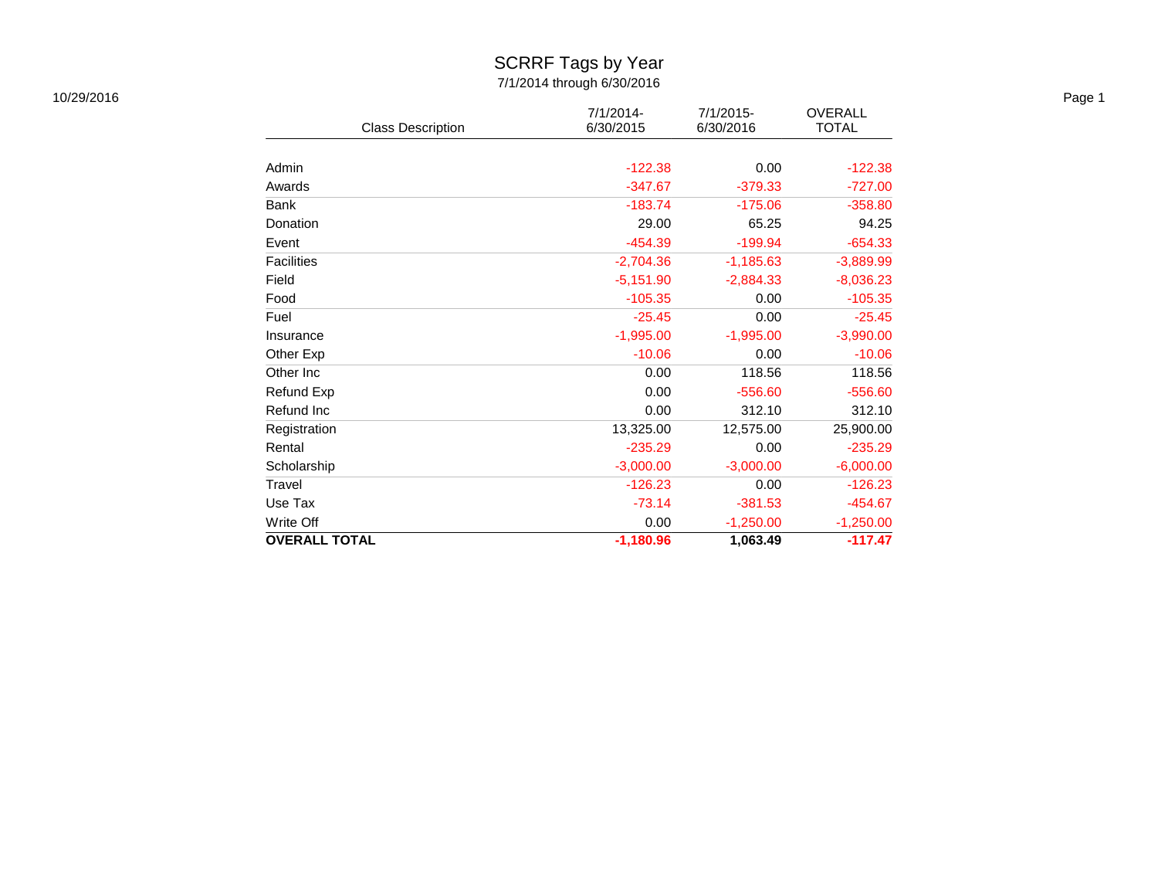### SCRRF Tags by Year

| 10/29/2016 |                          |                        |                           |                                |
|------------|--------------------------|------------------------|---------------------------|--------------------------------|
|            | <b>Class Description</b> | 7/1/2014-<br>6/30/2015 | $7/1/2015$ -<br>6/30/2016 | <b>OVERALL</b><br><b>TOTAL</b> |
|            |                          |                        |                           |                                |
|            | Admin                    | $-122.38$              | 0.00                      | $-122.38$                      |
|            | Awards                   | $-347.67$              | $-379.33$                 | $-727.00$                      |
|            | Bank                     | $-183.74$              | $-175.06$                 | $-358.80$                      |
|            | Donation                 | 29.00                  | 65.25                     | 94.25                          |
|            | Event                    | $-454.39$              | $-199.94$                 | $-654.33$                      |
|            | Facilities               | $-2,704.36$            | $-1,185.63$               | $-3,889.99$                    |
|            | Field                    | $-5,151.90$            | $-2,884.33$               | $-8,036.23$                    |
|            | Food                     | $-105.35$              | 0.00                      | $-105.35$                      |
|            | Fuel                     | $-25.45$               | 0.00                      | $-25.45$                       |
|            | Insurance                | $-1,995.00$            | $-1,995.00$               | $-3,990.00$                    |
|            | Other Exp                | $-10.06$               | 0.00                      | $-10.06$                       |
|            | Other Inc                | 0.00                   | 118.56                    | 118.56                         |
|            | Refund Exp               | 0.00                   | $-556.60$                 | $-556.60$                      |
|            | Refund Inc               | 0.00                   | 312.10                    | 312.10                         |
|            | Registration             | 13,325.00              | 12,575.00                 | 25,900.00                      |
|            | Rental                   | $-235.29$              | 0.00                      | $-235.29$                      |
|            | Scholarship              | $-3,000.00$            | $-3,000.00$               | $-6,000.00$                    |
|            | Travel                   | $-126.23$              | 0.00                      | $-126.23$                      |
|            | Use Tax                  | $-73.14$               | $-381.53$                 | $-454.67$                      |
|            | Write Off                | 0.00                   | $-1,250.00$               | $-1,250.00$                    |
|            | <b>OVERALL TOTAL</b>     | $-1,180.96$            | 1,063.49                  | $-117.47$                      |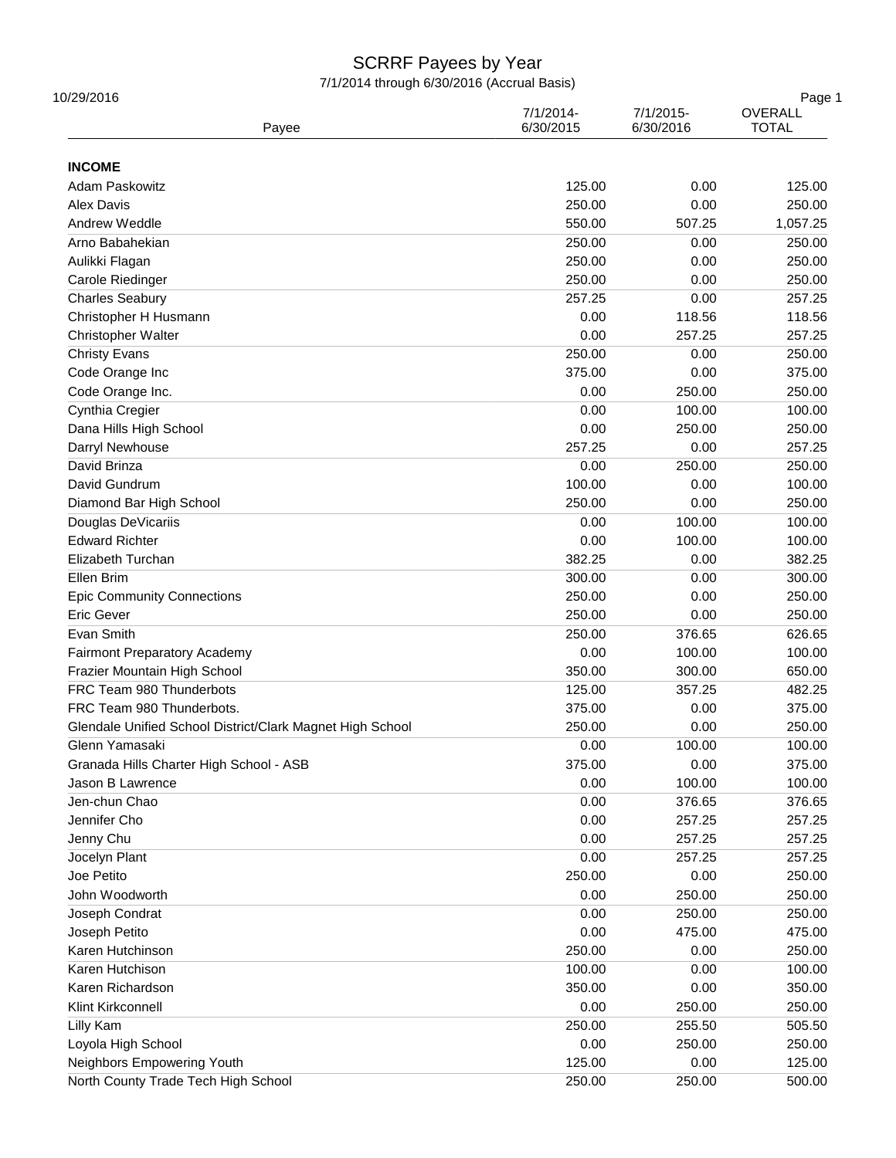| 10/29/2016<br>Payee                                       | 7/1/2014-<br>6/30/2015 | 7/1/2015-<br>6/30/2016 | Page 1<br>OVERALL<br><b>TOTAL</b> |  |
|-----------------------------------------------------------|------------------------|------------------------|-----------------------------------|--|
| <b>INCOME</b>                                             |                        |                        |                                   |  |
| Adam Paskowitz                                            | 125.00                 | 0.00                   | 125.00                            |  |
| Alex Davis                                                | 250.00                 | 0.00                   | 250.00                            |  |
| Andrew Weddle                                             | 550.00                 | 507.25                 | 1,057.25                          |  |
| Arno Babahekian                                           | 250.00                 | 0.00                   | 250.00                            |  |
| Aulikki Flagan                                            | 250.00                 | 0.00                   | 250.00                            |  |
| Carole Riedinger                                          | 250.00                 | 0.00                   | 250.00                            |  |
| <b>Charles Seabury</b>                                    | 257.25                 | 0.00                   | 257.25                            |  |
| Christopher H Husmann                                     | 0.00                   | 118.56                 | 118.56                            |  |
| <b>Christopher Walter</b>                                 | 0.00                   | 257.25                 | 257.25                            |  |
| <b>Christy Evans</b>                                      | 250.00                 | 0.00                   | 250.00                            |  |
| Code Orange Inc                                           | 375.00                 | 0.00                   | 375.00                            |  |
| Code Orange Inc.                                          | 0.00                   | 250.00                 | 250.00                            |  |
| Cynthia Cregier                                           | 0.00                   | 100.00                 | 100.00                            |  |
| Dana Hills High School                                    | 0.00                   | 250.00                 | 250.00                            |  |
| Darryl Newhouse                                           | 257.25                 | 0.00                   | 257.25                            |  |
| David Brinza                                              |                        |                        |                                   |  |
| David Gundrum                                             | 0.00<br>100.00         | 250.00<br>0.00         | 250.00<br>100.00                  |  |
|                                                           |                        |                        |                                   |  |
| Diamond Bar High School                                   | 250.00                 | 0.00                   | 250.00                            |  |
| Douglas DeVicariis                                        | 0.00                   | 100.00                 | 100.00                            |  |
| <b>Edward Richter</b>                                     | 0.00                   | 100.00                 | 100.00                            |  |
| Elizabeth Turchan                                         | 382.25                 | 0.00                   | 382.25                            |  |
| Ellen Brim                                                | 300.00                 | 0.00                   | 300.00                            |  |
| <b>Epic Community Connections</b>                         | 250.00                 | 0.00                   | 250.00                            |  |
| Eric Gever                                                | 250.00                 | 0.00                   | 250.00                            |  |
| Evan Smith                                                | 250.00                 | 376.65                 | 626.65                            |  |
| <b>Fairmont Preparatory Academy</b>                       | 0.00                   | 100.00                 | 100.00                            |  |
| Frazier Mountain High School                              | 350.00                 | 300.00                 | 650.00                            |  |
| FRC Team 980 Thunderbots                                  | 125.00                 | 357.25                 | 482.25                            |  |
| FRC Team 980 Thunderbots.                                 | 375.00                 | 0.00                   | 375.00                            |  |
| Glendale Unified School District/Clark Magnet High School | 250.00                 | 0.00                   | 250.00                            |  |
| Glenn Yamasaki                                            | 0.00                   | 100.00                 | 100.00                            |  |
| Granada Hills Charter High School - ASB                   | 375.00                 | 0.00                   | 375.00                            |  |
| Jason B Lawrence                                          | 0.00                   | 100.00                 | 100.00                            |  |
| Jen-chun Chao                                             | 0.00                   | 376.65                 | 376.65                            |  |
| Jennifer Cho                                              | 0.00                   | 257.25                 | 257.25                            |  |
| Jenny Chu                                                 | 0.00                   | 257.25                 | 257.25                            |  |
| Jocelyn Plant                                             | 0.00                   | 257.25                 | 257.25                            |  |
| Joe Petito                                                | 250.00                 | 0.00                   | 250.00                            |  |
| John Woodworth                                            | 0.00                   | 250.00                 | 250.00                            |  |
| Joseph Condrat                                            | 0.00                   | 250.00                 | 250.00                            |  |
| Joseph Petito                                             | 0.00                   | 475.00                 | 475.00                            |  |
| Karen Hutchinson                                          | 250.00                 | 0.00                   | 250.00                            |  |
| Karen Hutchison                                           | 100.00                 | 0.00                   | 100.00                            |  |
| Karen Richardson                                          | 350.00                 | 0.00                   | 350.00                            |  |
| Klint Kirkconnell                                         | 0.00                   | 250.00                 | 250.00                            |  |
| Lilly Kam                                                 | 250.00                 | 255.50                 | 505.50                            |  |
| Loyola High School                                        | 0.00                   | 250.00                 | 250.00                            |  |
| Neighbors Empowering Youth                                | 125.00                 | 0.00                   | 125.00                            |  |
| North County Trade Tech High School                       | 250.00                 | 250.00                 | 500.00                            |  |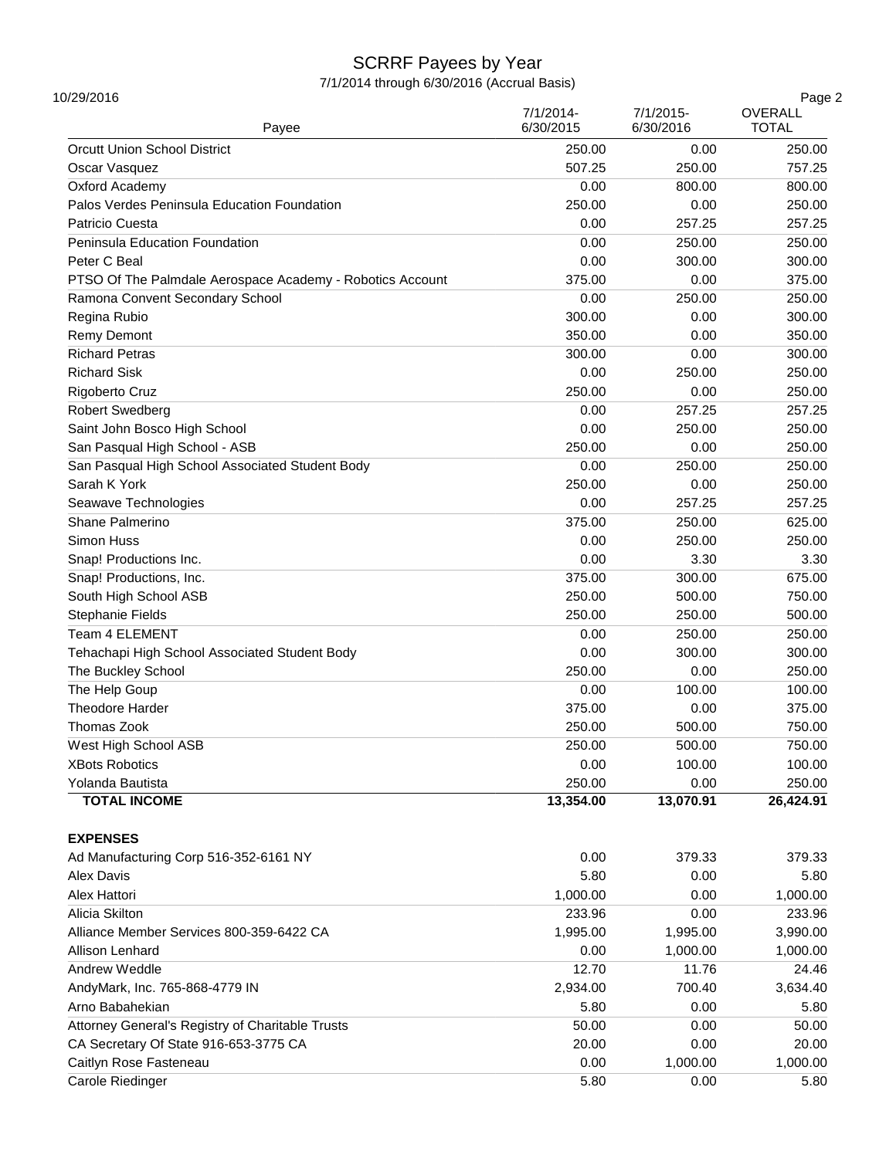| 10/29/2016<br>Payee                                       | 7/1/2014-<br>6/30/2015 | 7/1/2015-<br>6/30/2016 | Page 2<br>OVERALL<br><b>TOTAL</b> |
|-----------------------------------------------------------|------------------------|------------------------|-----------------------------------|
| <b>Orcutt Union School District</b>                       | 250.00                 | 0.00                   | 250.00                            |
| Oscar Vasquez                                             | 507.25                 | 250.00                 | 757.25                            |
| Oxford Academy                                            | 0.00                   | 800.00                 | 800.00                            |
| Palos Verdes Peninsula Education Foundation               | 250.00                 | 0.00                   | 250.00                            |
| Patricio Cuesta                                           | 0.00                   | 257.25                 | 257.25                            |
| Peninsula Education Foundation                            | 0.00                   | 250.00                 | 250.00                            |
| Peter C Beal                                              | 0.00                   | 300.00                 | 300.00                            |
|                                                           | 375.00                 | 0.00                   | 375.00                            |
| PTSO Of The Palmdale Aerospace Academy - Robotics Account |                        |                        |                                   |
| Ramona Convent Secondary School                           | 0.00                   | 250.00                 | 250.00                            |
| Regina Rubio                                              | 300.00                 | 0.00                   | 300.00                            |
| <b>Remy Demont</b>                                        | 350.00                 | 0.00                   | 350.00                            |
| <b>Richard Petras</b>                                     | 300.00                 | 0.00                   | 300.00                            |
| <b>Richard Sisk</b>                                       | 0.00                   | 250.00                 | 250.00                            |
| Rigoberto Cruz                                            | 250.00                 | 0.00                   | 250.00                            |
| <b>Robert Swedberg</b>                                    | 0.00                   | 257.25                 | 257.25                            |
| Saint John Bosco High School                              | 0.00                   | 250.00                 | 250.00                            |
| San Pasqual High School - ASB                             | 250.00                 | 0.00                   | 250.00                            |
| San Pasqual High School Associated Student Body           | 0.00                   | 250.00                 | 250.00                            |
| Sarah K York                                              | 250.00                 | 0.00                   | 250.00                            |
| Seawave Technologies                                      | 0.00                   | 257.25                 | 257.25                            |
| Shane Palmerino                                           | 375.00                 | 250.00                 | 625.00                            |
| Simon Huss                                                | 0.00                   | 250.00                 | 250.00                            |
| Snap! Productions Inc.                                    | 0.00                   | 3.30                   | 3.30                              |
| Snap! Productions, Inc.                                   | 375.00                 | 300.00                 | 675.00                            |
| South High School ASB                                     | 250.00                 | 500.00                 | 750.00                            |
| Stephanie Fields                                          | 250.00                 | 250.00                 | 500.00                            |
| Team 4 ELEMENT                                            | 0.00                   | 250.00                 | 250.00                            |
| Tehachapi High School Associated Student Body             | 0.00                   | 300.00                 | 300.00                            |
| The Buckley School                                        | 250.00                 | 0.00                   | 250.00                            |
| The Help Goup                                             | 0.00                   | 100.00                 | 100.00                            |
| Theodore Harder                                           | 375.00                 | 0.00                   | 375.00                            |
| Thomas Zook                                               | 250.00                 | 500.00                 | 750.00                            |
| West High School ASB                                      | 250.00                 | 500.00                 | 750.00                            |
| <b>XBots Robotics</b>                                     | 0.00                   | 100.00                 | 100.00                            |
| Yolanda Bautista                                          | 250.00                 | 0.00                   | 250.00                            |
| <b>TOTAL INCOME</b>                                       | 13,354.00              | 13,070.91              | 26,424.91                         |
| <b>EXPENSES</b>                                           |                        |                        |                                   |
| Ad Manufacturing Corp 516-352-6161 NY                     | 0.00                   | 379.33                 | 379.33                            |
| Alex Davis                                                | 5.80                   | 0.00                   | 5.80                              |
| Alex Hattori                                              | 1,000.00               | 0.00                   | 1,000.00                          |
| Alicia Skilton                                            | 233.96                 | 0.00                   | 233.96                            |
| Alliance Member Services 800-359-6422 CA                  | 1,995.00               | 1,995.00               | 3,990.00                          |
| Allison Lenhard                                           | 0.00                   | 1,000.00               | 1,000.00                          |
| Andrew Weddle                                             | 12.70                  | 11.76                  | 24.46                             |
| AndyMark, Inc. 765-868-4779 IN                            | 2,934.00               | 700.40                 | 3,634.40                          |
| Arno Babahekian                                           | 5.80                   | 0.00                   | 5.80                              |
| Attorney General's Registry of Charitable Trusts          | 50.00                  | 0.00                   | 50.00                             |
| CA Secretary Of State 916-653-3775 CA                     | 20.00                  | 0.00                   | 20.00                             |
|                                                           |                        |                        |                                   |
| Caitlyn Rose Fasteneau                                    | 0.00                   | 1,000.00               | 1,000.00                          |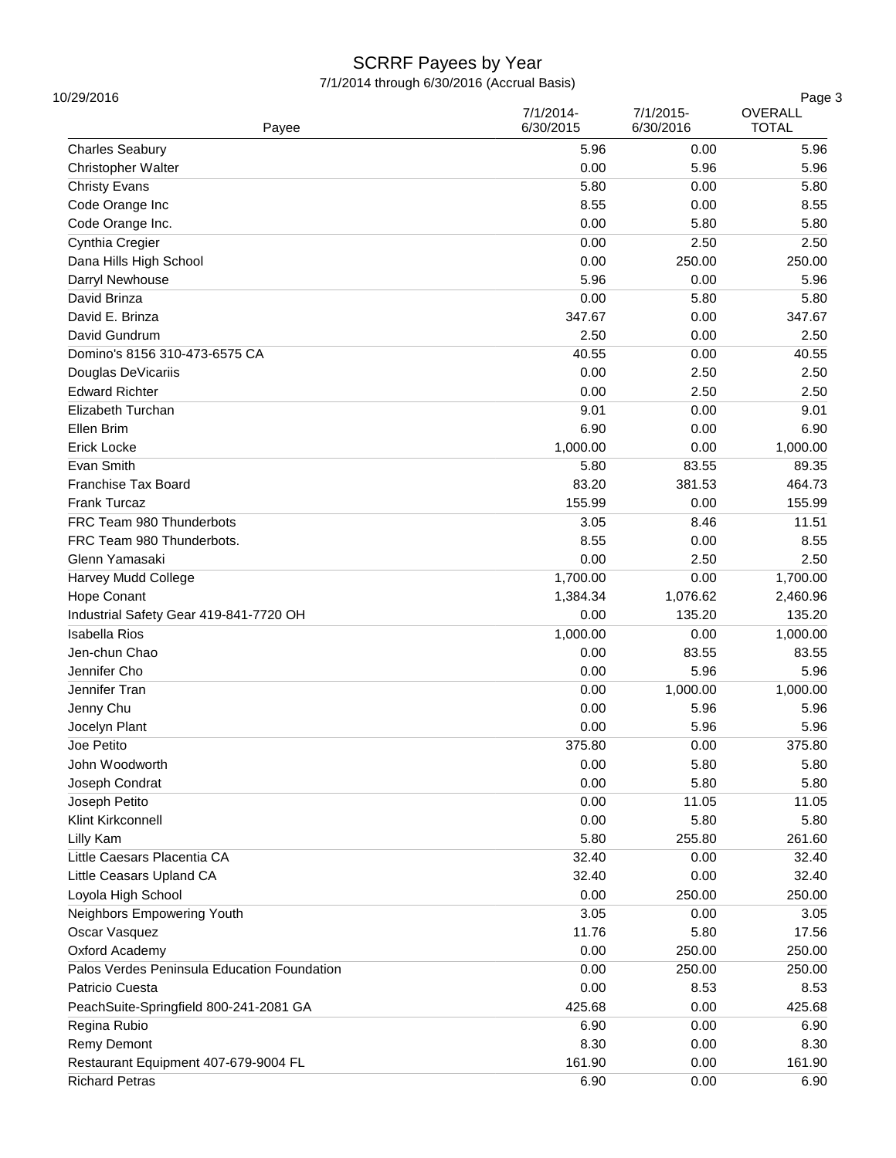| 10/29/2016<br>Payee                         | 7/1/2014-<br>6/30/2015 | 7/1/2015-<br>6/30/2016 | Page 3<br>OVERALL<br><b>TOTAL</b> |
|---------------------------------------------|------------------------|------------------------|-----------------------------------|
| <b>Charles Seabury</b>                      | 5.96                   | 0.00                   | 5.96                              |
| Christopher Walter                          | 0.00                   | 5.96                   | 5.96                              |
| <b>Christy Evans</b>                        | 5.80                   | 0.00                   | 5.80                              |
| Code Orange Inc                             | 8.55                   | 0.00                   | 8.55                              |
| Code Orange Inc.                            | 0.00                   | 5.80                   | 5.80                              |
| Cynthia Cregier                             | 0.00                   | 2.50                   | 2.50                              |
| Dana Hills High School                      | 0.00                   | 250.00                 | 250.00                            |
| Darryl Newhouse                             | 5.96                   | 0.00                   | 5.96                              |
| David Brinza                                | 0.00                   | 5.80                   | 5.80                              |
| David E. Brinza                             | 347.67                 | 0.00                   | 347.67                            |
| David Gundrum                               | 2.50                   | 0.00                   | 2.50                              |
| Domino's 8156 310-473-6575 CA               | 40.55                  | 0.00                   | 40.55                             |
| Douglas DeVicariis                          | 0.00                   | 2.50                   | 2.50                              |
| <b>Edward Richter</b>                       | 0.00                   | 2.50                   | 2.50                              |
| <b>Elizabeth Turchan</b>                    | 9.01                   | 0.00                   | 9.01                              |
| Ellen Brim                                  | 6.90                   | 0.00                   | 6.90                              |
| <b>Erick Locke</b>                          | 1,000.00               | 0.00                   | 1,000.00                          |
| Evan Smith                                  | 5.80                   | 83.55                  | 89.35                             |
| Franchise Tax Board                         | 83.20                  | 381.53                 | 464.73                            |
| <b>Frank Turcaz</b>                         | 155.99                 | 0.00                   | 155.99                            |
| FRC Team 980 Thunderbots                    | 3.05                   | 8.46                   | 11.51                             |
| FRC Team 980 Thunderbots.                   | 8.55                   | 0.00                   | 8.55                              |
| Glenn Yamasaki                              | 0.00                   | 2.50                   | 2.50                              |
| Harvey Mudd College                         | 1,700.00               | 0.00                   | 1,700.00                          |
| Hope Conant                                 | 1,384.34               | 1,076.62               | 2,460.96                          |
| Industrial Safety Gear 419-841-7720 OH      | 0.00                   | 135.20                 | 135.20                            |
| <b>Isabella Rios</b>                        | 1,000.00               | 0.00                   | 1,000.00                          |
| Jen-chun Chao                               | 0.00                   | 83.55                  | 83.55                             |
| Jennifer Cho                                | 0.00                   | 5.96                   | 5.96                              |
| Jennifer Tran                               | 0.00                   | 1,000.00               | 1,000.00                          |
| Jenny Chu                                   | 0.00                   | 5.96                   | 5.96                              |
| Jocelyn Plant                               | 0.00                   | 5.96                   | 5.96                              |
| Joe Petito                                  | 375.80                 | 0.00                   | 375.80                            |
| John Woodworth                              | 0.00                   | 5.80                   | 5.80                              |
| Joseph Condrat                              | 0.00                   | 5.80                   | 5.80                              |
| Joseph Petito                               | 0.00                   | 11.05                  | 11.05                             |
| Klint Kirkconnell                           | 0.00                   | 5.80                   | 5.80                              |
| Lilly Kam                                   | 5.80                   | 255.80                 | 261.60                            |
| Little Caesars Placentia CA                 | 32.40                  | 0.00                   | 32.40                             |
| Little Ceasars Upland CA                    | 32.40                  | 0.00                   | 32.40                             |
| Loyola High School                          | 0.00                   | 250.00                 | 250.00                            |
| Neighbors Empowering Youth                  | 3.05                   | 0.00                   | 3.05                              |
| Oscar Vasquez                               | 11.76                  | 5.80                   | 17.56                             |
| Oxford Academy                              | 0.00                   | 250.00                 | 250.00                            |
| Palos Verdes Peninsula Education Foundation | 0.00                   | 250.00                 | 250.00                            |
| Patricio Cuesta                             | 0.00                   | 8.53                   | 8.53                              |
| PeachSuite-Springfield 800-241-2081 GA      | 425.68                 | 0.00                   | 425.68                            |
| Regina Rubio                                | 6.90                   | 0.00                   | 6.90                              |
| <b>Remy Demont</b>                          | 8.30                   | 0.00                   | 8.30                              |
| Restaurant Equipment 407-679-9004 FL        | 161.90                 | 0.00                   | 161.90                            |
|                                             |                        |                        |                                   |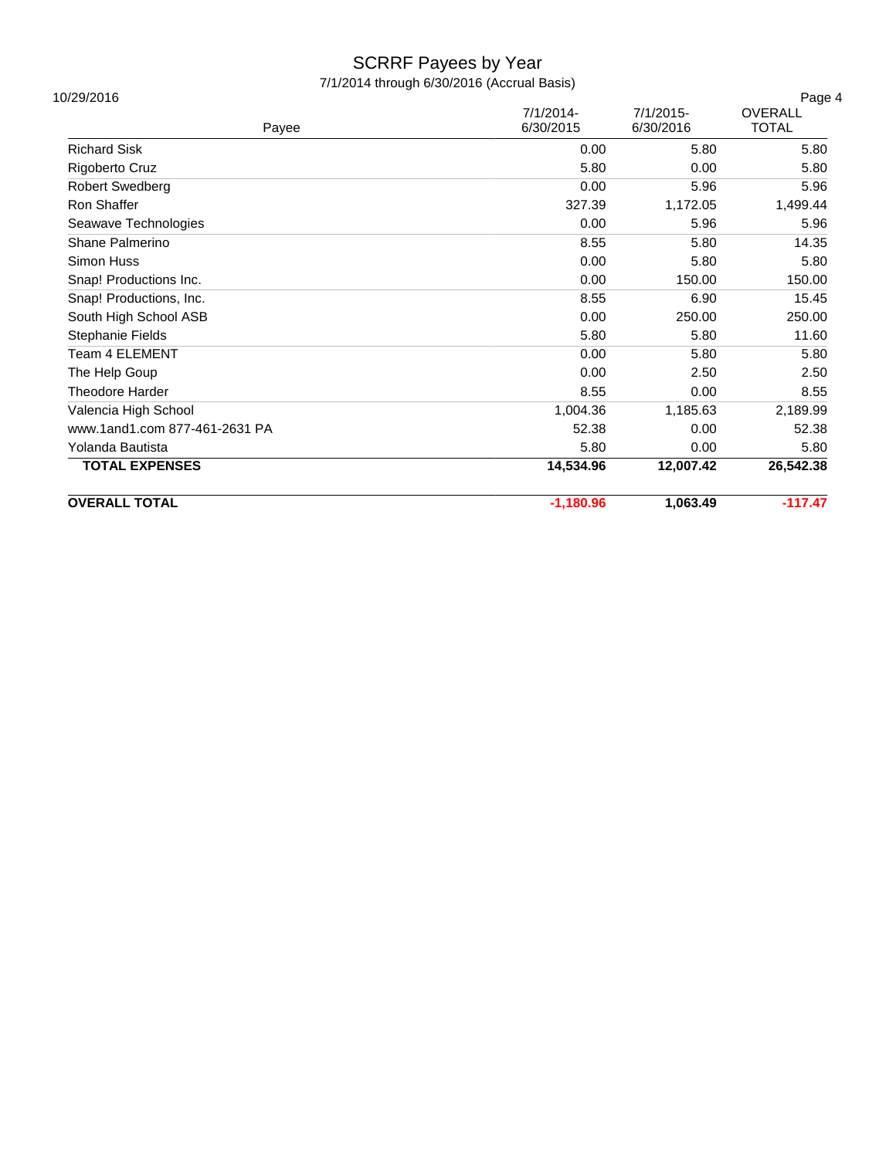| <b>OVERALL TOTAL</b>          | $-1,180.96$            | 1,063.49                  | $-117.47$               |
|-------------------------------|------------------------|---------------------------|-------------------------|
| <b>TOTAL EXPENSES</b>         | 14,534.96              | 12,007.42                 | 26,542.38               |
| Yolanda Bautista              | 5.80                   | 0.00                      | 5.80                    |
| www.1and1.com 877-461-2631 PA | 52.38                  | 0.00                      | 52.38                   |
| Valencia High School          | 1,004.36               | 1,185.63                  | 2,189.99                |
| <b>Theodore Harder</b>        | 8.55                   | 0.00                      | 8.55                    |
| The Help Goup                 | 0.00                   | 2.50                      | 2.50                    |
| <b>Team 4 ELEMENT</b>         | 0.00                   | 5.80                      | 5.80                    |
| Stephanie Fields              | 5.80                   | 5.80                      | 11.60                   |
| South High School ASB         | 0.00                   | 250.00                    | 250.00                  |
| Snap! Productions, Inc.       | 8.55                   | 6.90                      | 15.45                   |
| Snap! Productions Inc.        | 0.00                   | 150.00                    | 150.00                  |
| Simon Huss                    | 0.00                   | 5.80                      | 5.80                    |
| Shane Palmerino               | 8.55                   | 5.80                      | 14.35                   |
| Seawave Technologies          | 0.00                   | 5.96                      | 5.96                    |
| Ron Shaffer                   | 327.39                 | 1,172.05                  | 1,499.44                |
| <b>Robert Swedberg</b>        | 0.00                   | 5.96                      | 5.96                    |
| Rigoberto Cruz                | 5.80                   | 0.00                      | 5.80                    |
| <b>Richard Sisk</b>           | 0.00                   | 5.80                      | 5.80                    |
| Payee                         | 7/1/2014-<br>6/30/2015 | $7/1/2015$ -<br>6/30/2016 | OVERALL<br><b>TOTAL</b> |
| 10/29/2016                    |                        |                           | Page 4                  |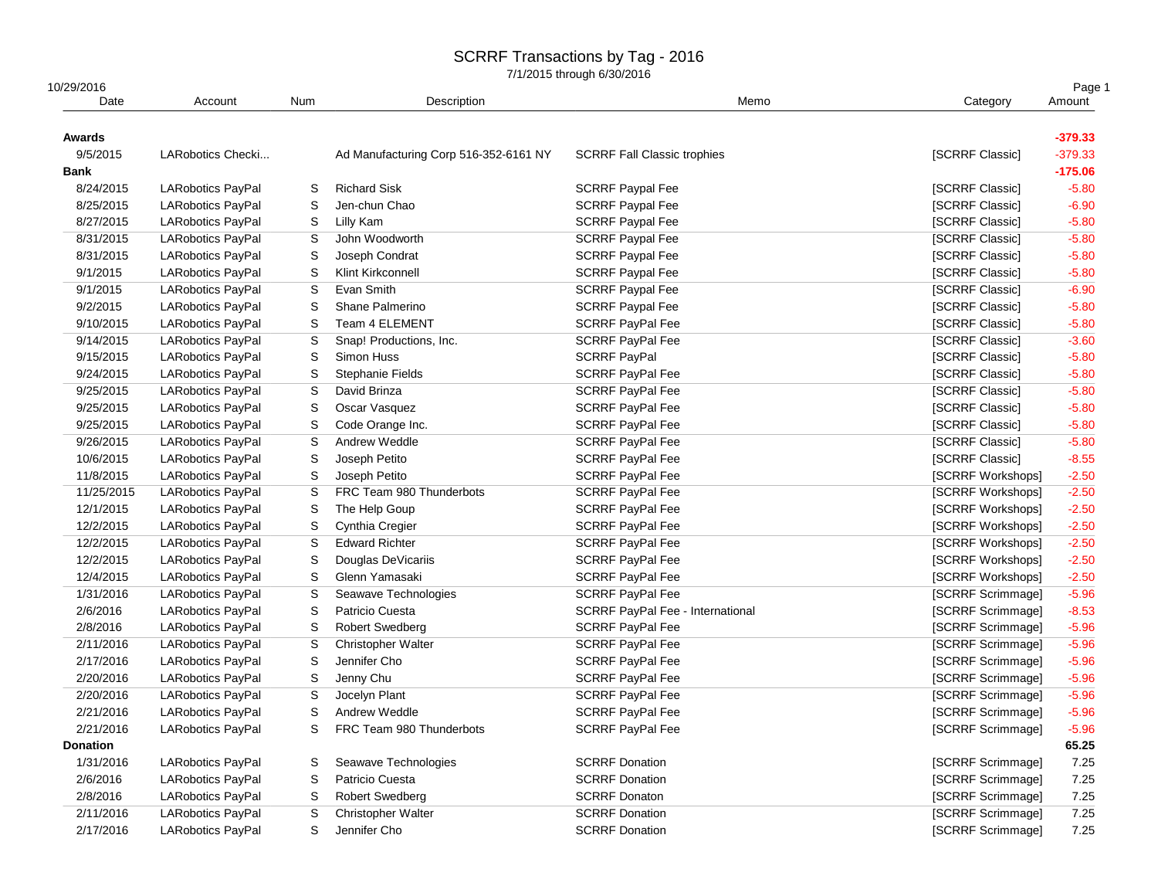| 10/29/2016<br>Date | Account                  | Num | Description                           | Memo                                    | Category          | Page 1<br>Amount |
|--------------------|--------------------------|-----|---------------------------------------|-----------------------------------------|-------------------|------------------|
| Awards             |                          |     |                                       |                                         |                   | $-379.33$        |
| 9/5/2015           | LARobotics Checki        |     | Ad Manufacturing Corp 516-352-6161 NY | <b>SCRRF Fall Classic trophies</b>      | [SCRRF Classic]   | $-379.33$        |
| <b>Bank</b>        |                          |     |                                       |                                         |                   | $-175.06$        |
| 8/24/2015          | LARobotics PayPal        | S   | <b>Richard Sisk</b>                   | <b>SCRRF Paypal Fee</b>                 | [SCRRF Classic]   | $-5.80$          |
| 8/25/2015          | <b>LARobotics PayPal</b> | S   | Jen-chun Chao                         | <b>SCRRF Paypal Fee</b>                 | [SCRRF Classic]   | $-6.90$          |
| 8/27/2015          | LARobotics PayPal        | S   | Lilly Kam                             | <b>SCRRF Paypal Fee</b>                 | [SCRRF Classic]   | $-5.80$          |
| 8/31/2015          | LARobotics PayPal        | S   | John Woodworth                        | <b>SCRRF Paypal Fee</b>                 | [SCRRF Classic]   | $-5.80$          |
| 8/31/2015          | LARobotics PayPal        | S   | Joseph Condrat                        | <b>SCRRF Paypal Fee</b>                 | [SCRRF Classic]   | $-5.80$          |
| 9/1/2015           | LARobotics PayPal        | S   | Klint Kirkconnell                     | <b>SCRRF Paypal Fee</b>                 | [SCRRF Classic]   | $-5.80$          |
| 9/1/2015           | <b>LARobotics PayPal</b> | S   | Evan Smith                            | <b>SCRRF Paypal Fee</b>                 | [SCRRF Classic]   | $-6.90$          |
| 9/2/2015           | <b>LARobotics PayPal</b> | S   | Shane Palmerino                       | <b>SCRRF Paypal Fee</b>                 | [SCRRF Classic]   | $-5.80$          |
| 9/10/2015          | <b>LARobotics PayPal</b> | S   | Team 4 ELEMENT                        | <b>SCRRF PayPal Fee</b>                 | [SCRRF Classic]   | $-5.80$          |
| 9/14/2015          | LARobotics PayPal        | S   | Snap! Productions, Inc.               | <b>SCRRF PayPal Fee</b>                 | [SCRRF Classic]   | $-3.60$          |
| 9/15/2015          | <b>LARobotics PayPal</b> | S   | Simon Huss                            | <b>SCRRF PayPal</b>                     | [SCRRF Classic]   | $-5.80$          |
| 9/24/2015          | LARobotics PayPal        | S   | Stephanie Fields                      | <b>SCRRF PayPal Fee</b>                 | [SCRRF Classic]   | $-5.80$          |
| 9/25/2015          | LARobotics PayPal        | S   | David Brinza                          | <b>SCRRF PayPal Fee</b>                 | [SCRRF Classic]   | $-5.80$          |
| 9/25/2015          | <b>LARobotics PayPal</b> | S   | Oscar Vasquez                         | <b>SCRRF PayPal Fee</b>                 | [SCRRF Classic]   | $-5.80$          |
| 9/25/2015          | <b>LARobotics PayPal</b> | S   | Code Orange Inc.                      | SCRRF PayPal Fee                        | [SCRRF Classic]   | $-5.80$          |
| 9/26/2015          | LARobotics PayPal        | S   | Andrew Weddle                         | <b>SCRRF PayPal Fee</b>                 | [SCRRF Classic]   | $-5.80$          |
| 10/6/2015          | LARobotics PayPal        | S   | Joseph Petito                         | <b>SCRRF PayPal Fee</b>                 | [SCRRF Classic]   | $-8.55$          |
| 11/8/2015          | LARobotics PayPal        | S   | Joseph Petito                         | SCRRF PayPal Fee                        | [SCRRF Workshops] | $-2.50$          |
| 11/25/2015         | LARobotics PayPal        | S   | FRC Team 980 Thunderbots              | <b>SCRRF PayPal Fee</b>                 | [SCRRF Workshops] | $-2.50$          |
| 12/1/2015          | <b>LARobotics PayPal</b> | S   | The Help Goup                         | <b>SCRRF PayPal Fee</b>                 | [SCRRF Workshops] | $-2.50$          |
| 12/2/2015          | <b>LARobotics PayPal</b> | S   | Cynthia Cregier                       | <b>SCRRF PayPal Fee</b>                 | [SCRRF Workshops] | $-2.50$          |
| 12/2/2015          | <b>LARobotics PayPal</b> | S   | <b>Edward Richter</b>                 | <b>SCRRF PayPal Fee</b>                 | [SCRRF Workshops] | $-2.50$          |
| 12/2/2015          | <b>LARobotics PayPal</b> | S   | Douglas DeVicariis                    | <b>SCRRF PayPal Fee</b>                 | [SCRRF Workshops] | $-2.50$          |
| 12/4/2015          | <b>LARobotics PayPal</b> | S   | Glenn Yamasaki                        | <b>SCRRF PayPal Fee</b>                 | [SCRRF Workshops] | $-2.50$          |
| 1/31/2016          | <b>LARobotics PayPal</b> | S   | Seawave Technologies                  | <b>SCRRF PayPal Fee</b>                 | [SCRRF Scrimmage] | $-5.96$          |
| 2/6/2016           | <b>LARobotics PayPal</b> | S   | Patricio Cuesta                       | <b>SCRRF PayPal Fee - International</b> | [SCRRF Scrimmage] | $-8.53$          |
| 2/8/2016           | <b>LARobotics PayPal</b> | S   | <b>Robert Swedberg</b>                | SCRRF PayPal Fee                        | [SCRRF Scrimmage] | $-5.96$          |
| 2/11/2016          | <b>LARobotics PayPal</b> | S   | <b>Christopher Walter</b>             | <b>SCRRF PayPal Fee</b>                 | [SCRRF Scrimmage] | $-5.96$          |
| 2/17/2016          | <b>LARobotics PayPal</b> | S   | Jennifer Cho                          | <b>SCRRF PayPal Fee</b>                 | [SCRRF Scrimmage] | $-5.96$          |
| 2/20/2016          | <b>LARobotics PayPal</b> | S   | Jenny Chu                             | <b>SCRRF PayPal Fee</b>                 | [SCRRF Scrimmage] | $-5.96$          |
| 2/20/2016          | <b>LARobotics PayPal</b> | S   | Jocelyn Plant                         | <b>SCRRF PayPal Fee</b>                 | [SCRRF Scrimmage] | $-5.96$          |
| 2/21/2016          | <b>LARobotics PayPal</b> | S   | Andrew Weddle                         | <b>SCRRF PayPal Fee</b>                 | [SCRRF Scrimmage] | $-5.96$          |
| 2/21/2016          | <b>LARobotics PayPal</b> | S   | FRC Team 980 Thunderbots              | SCRRF PayPal Fee                        | [SCRRF Scrimmage] | $-5.96$          |
| <b>Donation</b>    |                          |     |                                       |                                         |                   | 65.25            |
| 1/31/2016          | LARobotics PayPal        | S   | Seawave Technologies                  | <b>SCRRF Donation</b>                   | [SCRRF Scrimmage] | 7.25             |
| 2/6/2016           | <b>LARobotics PayPal</b> | S   | Patricio Cuesta                       | <b>SCRRF Donation</b>                   | [SCRRF Scrimmage] | 7.25             |
| 2/8/2016           | <b>LARobotics PayPal</b> | S   | <b>Robert Swedberg</b>                | <b>SCRRF Donaton</b>                    | [SCRRF Scrimmage] | 7.25             |
| 2/11/2016          | <b>LARobotics PayPal</b> | S   | <b>Christopher Walter</b>             | <b>SCRRF Donation</b>                   | [SCRRF Scrimmage] | 7.25             |
| 2/17/2016          | <b>LARobotics PayPal</b> | S   | Jennifer Cho                          | <b>SCRRF Donation</b>                   | [SCRRF Scrimmage] | 7.25             |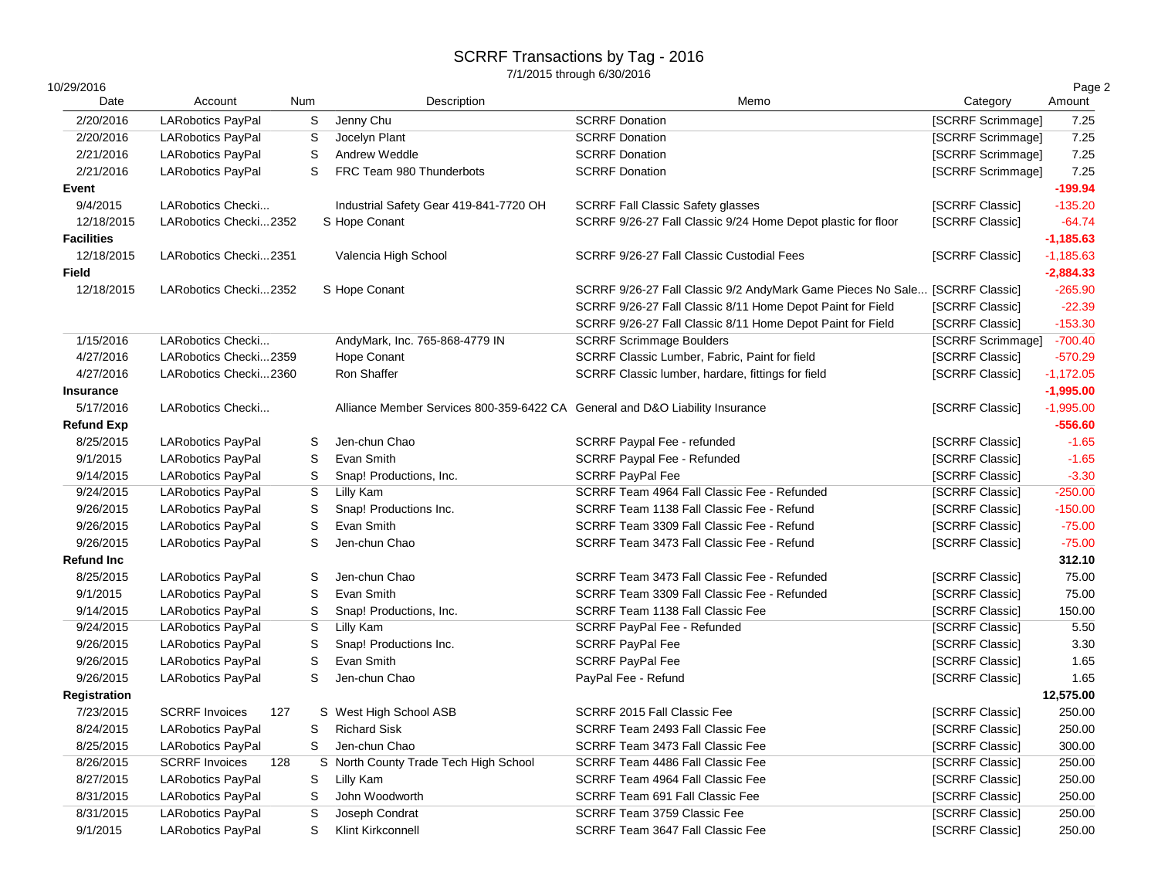| 10/29/2016<br>Date     | Account                                | Num    | Description                                                                  | Memo                                                                        | Category                               | Page 2<br>Amount |
|------------------------|----------------------------------------|--------|------------------------------------------------------------------------------|-----------------------------------------------------------------------------|----------------------------------------|------------------|
|                        |                                        |        |                                                                              |                                                                             |                                        |                  |
| 2/20/2016<br>2/20/2016 | <b>LARobotics PayPal</b>               | S<br>S | Jenny Chu<br>Jocelyn Plant                                                   | <b>SCRRF Donation</b><br><b>SCRRF Donation</b>                              | [SCRRF Scrimmage]                      | 7.25<br>7.25     |
| 2/21/2016              | LARobotics PayPal<br>LARobotics PayPal | S      | Andrew Weddle                                                                | <b>SCRRF Donation</b>                                                       | [SCRRF Scrimmage]<br>[SCRRF Scrimmage] | 7.25             |
| 2/21/2016              | LARobotics PayPal                      | S      | FRC Team 980 Thunderbots                                                     | <b>SCRRF Donation</b>                                                       | [SCRRF Scrimmage]                      | 7.25             |
| Event                  |                                        |        |                                                                              |                                                                             |                                        | $-199.94$        |
| 9/4/2015               | LARobotics Checki                      |        | Industrial Safety Gear 419-841-7720 OH                                       | <b>SCRRF Fall Classic Safety glasses</b>                                    | [SCRRF Classic]                        | $-135.20$        |
| 12/18/2015             | LARobotics Checki2352                  |        | S Hope Conant                                                                | SCRRF 9/26-27 Fall Classic 9/24 Home Depot plastic for floor                | [SCRRF Classic]                        | $-64.74$         |
| <b>Facilities</b>      |                                        |        |                                                                              |                                                                             |                                        | $-1,185.63$      |
| 12/18/2015             | LARobotics Checki2351                  |        | Valencia High School                                                         | SCRRF 9/26-27 Fall Classic Custodial Fees                                   | [SCRRF Classic]                        | $-1,185.63$      |
| <b>Field</b>           |                                        |        |                                                                              |                                                                             |                                        | $-2,884.33$      |
| 12/18/2015             | LARobotics Checki2352                  |        | S Hope Conant                                                                | SCRRF 9/26-27 Fall Classic 9/2 AndyMark Game Pieces No Sale [SCRRF Classic] |                                        | $-265.90$        |
|                        |                                        |        |                                                                              | SCRRF 9/26-27 Fall Classic 8/11 Home Depot Paint for Field                  | [SCRRF Classic]                        | $-22.39$         |
|                        |                                        |        |                                                                              | SCRRF 9/26-27 Fall Classic 8/11 Home Depot Paint for Field                  | [SCRRF Classic]                        | $-153.30$        |
| 1/15/2016              | LARobotics Checki                      |        | AndyMark, Inc. 765-868-4779 IN                                               | <b>SCRRF Scrimmage Boulders</b>                                             | [SCRRF Scrimmage]                      | $-700.40$        |
| 4/27/2016              | LARobotics Checki2359                  |        | <b>Hope Conant</b>                                                           | SCRRF Classic Lumber, Fabric, Paint for field                               | [SCRRF Classic]                        | $-570.29$        |
| 4/27/2016              | LARobotics Checki2360                  |        | Ron Shaffer                                                                  | SCRRF Classic lumber, hardare, fittings for field                           | [SCRRF Classic]                        | $-1,172.05$      |
| Insurance              |                                        |        |                                                                              |                                                                             |                                        | $-1,995.00$      |
| 5/17/2016              | LARobotics Checki                      |        | Alliance Member Services 800-359-6422 CA General and D&O Liability Insurance |                                                                             | [SCRRF Classic]                        | $-1,995.00$      |
| <b>Refund Exp</b>      |                                        |        |                                                                              |                                                                             |                                        | $-556.60$        |
| 8/25/2015              | LARobotics PayPal                      | S      | Jen-chun Chao                                                                | SCRRF Paypal Fee - refunded                                                 | [SCRRF Classic]                        | $-1.65$          |
| 9/1/2015               | <b>LARobotics PayPal</b>               | S      | Evan Smith                                                                   | SCRRF Paypal Fee - Refunded                                                 | [SCRRF Classic]                        | $-1.65$          |
| 9/14/2015              | <b>LARobotics PayPal</b>               | S      | Snap! Productions, Inc.                                                      | <b>SCRRF PayPal Fee</b>                                                     | <b>ISCRRF Classic1</b>                 | $-3.30$          |
| 9/24/2015              | <b>LARobotics PayPal</b>               | S      | Lilly Kam                                                                    | SCRRF Team 4964 Fall Classic Fee - Refunded                                 | [SCRRF Classic]                        | $-250.00$        |
| 9/26/2015              | <b>LARobotics PayPal</b>               | S      | Snap! Productions Inc.                                                       | SCRRF Team 1138 Fall Classic Fee - Refund                                   | [SCRRF Classic]                        | $-150.00$        |
| 9/26/2015              | <b>LARobotics PayPal</b>               | S      | Evan Smith                                                                   | SCRRF Team 3309 Fall Classic Fee - Refund                                   | [SCRRF Classic]                        | $-75.00$         |
| 9/26/2015              | <b>LARobotics PayPal</b>               | S      | Jen-chun Chao                                                                | SCRRF Team 3473 Fall Classic Fee - Refund                                   | [SCRRF Classic]                        | $-75.00$         |
| <b>Refund Inc</b>      |                                        |        |                                                                              |                                                                             |                                        | 312.10           |
| 8/25/2015              | <b>LARobotics PayPal</b>               | S      | Jen-chun Chao                                                                | SCRRF Team 3473 Fall Classic Fee - Refunded                                 | [SCRRF Classic]                        | 75.00            |
| 9/1/2015               | <b>LARobotics PayPal</b>               | S      | Evan Smith                                                                   | SCRRF Team 3309 Fall Classic Fee - Refunded                                 | [SCRRF Classic]                        | 75.00            |
| 9/14/2015              | <b>LARobotics PayPal</b>               | S      | Snap! Productions, Inc.                                                      | SCRRF Team 1138 Fall Classic Fee                                            | [SCRRF Classic]                        | 150.00           |
| 9/24/2015              | LARobotics PayPal                      | S      | Lilly Kam                                                                    | SCRRF PayPal Fee - Refunded                                                 | [SCRRF Classic]                        | 5.50             |
| 9/26/2015              | LARobotics PayPal                      | S      | Snap! Productions Inc.                                                       | <b>SCRRF PayPal Fee</b>                                                     | [SCRRF Classic]                        | 3.30             |
| 9/26/2015              | <b>LARobotics PayPal</b>               | S      | Evan Smith                                                                   | <b>SCRRF PayPal Fee</b>                                                     | [SCRRF Classic]                        | 1.65             |
| 9/26/2015              | LARobotics PayPal                      | S      | Jen-chun Chao                                                                | PayPal Fee - Refund                                                         | [SCRRF Classic]                        | 1.65             |
| <b>Registration</b>    |                                        |        |                                                                              |                                                                             |                                        | 12,575.00        |
| 7/23/2015              | <b>SCRRF Invoices</b><br>127           |        | S West High School ASB                                                       | SCRRF 2015 Fall Classic Fee                                                 | [SCRRF Classic]                        | 250.00           |
| 8/24/2015              | <b>LARobotics PayPal</b>               | S      | <b>Richard Sisk</b>                                                          | SCRRF Team 2493 Fall Classic Fee                                            | [SCRRF Classic]                        | 250.00           |
| 8/25/2015              | <b>LARobotics PayPal</b>               | S      | Jen-chun Chao                                                                | SCRRF Team 3473 Fall Classic Fee                                            | [SCRRF Classic]                        | 300.00           |
| 8/26/2015              | <b>SCRRF</b> Invoices<br>128           |        | S North County Trade Tech High School                                        | SCRRF Team 4486 Fall Classic Fee                                            | [SCRRF Classic]                        | 250.00           |
| 8/27/2015              | <b>LARobotics PayPal</b>               | S      | Lilly Kam                                                                    | SCRRF Team 4964 Fall Classic Fee                                            | [SCRRF Classic]                        | 250.00           |
| 8/31/2015              | <b>LARobotics PayPal</b>               | S      | John Woodworth                                                               | SCRRF Team 691 Fall Classic Fee                                             | [SCRRF Classic]                        | 250.00           |
| 8/31/2015              | LARobotics PayPal                      | S      | Joseph Condrat                                                               | SCRRF Team 3759 Classic Fee                                                 | [SCRRF Classic]                        | 250.00           |
| 9/1/2015               | <b>LARobotics PayPal</b>               | S      | Klint Kirkconnell                                                            | SCRRF Team 3647 Fall Classic Fee                                            | [SCRRF Classic]                        | 250.00           |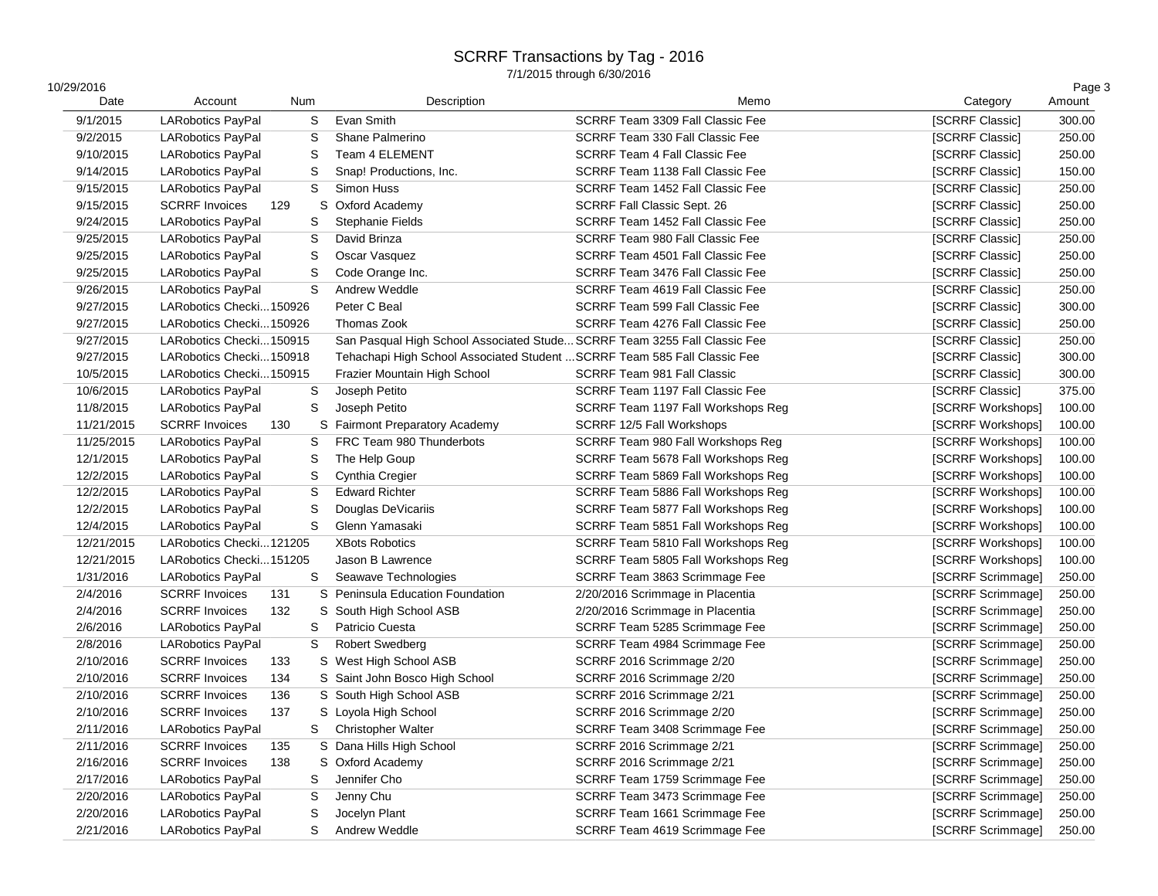| 10/29/2016<br>Date | Account                  | Num |   | Description                                                               | Memo                                 | Category          | Page 3<br>Amount |
|--------------------|--------------------------|-----|---|---------------------------------------------------------------------------|--------------------------------------|-------------------|------------------|
| 9/1/2015           | <b>LARobotics PayPal</b> |     | S | Evan Smith                                                                | SCRRF Team 3309 Fall Classic Fee     | [SCRRF Classic]   | 300.00           |
| 9/2/2015           | <b>LARobotics PayPal</b> |     | S | Shane Palmerino                                                           | SCRRF Team 330 Fall Classic Fee      | [SCRRF Classic]   | 250.00           |
| 9/10/2015          | <b>LARobotics PayPal</b> |     | S | Team 4 ELEMENT                                                            | <b>SCRRF Team 4 Fall Classic Fee</b> | [SCRRF Classic]   | 250.00           |
| 9/14/2015          | <b>LARobotics PayPal</b> |     | S | Snap! Productions, Inc.                                                   | SCRRF Team 1138 Fall Classic Fee     | [SCRRF Classic]   | 150.00           |
| 9/15/2015          | <b>LARobotics PayPal</b> |     | S | Simon Huss                                                                | SCRRF Team 1452 Fall Classic Fee     | [SCRRF Classic]   | 250.00           |
| 9/15/2015          | <b>SCRRF Invoices</b>    | 129 |   | S Oxford Academy                                                          | SCRRF Fall Classic Sept. 26          | [SCRRF Classic]   | 250.00           |
| 9/24/2015          | <b>LARobotics PayPal</b> |     | S | <b>Stephanie Fields</b>                                                   | SCRRF Team 1452 Fall Classic Fee     | [SCRRF Classic]   | 250.00           |
| 9/25/2015          | LARobotics PayPal        |     | S | David Brinza                                                              | SCRRF Team 980 Fall Classic Fee      | [SCRRF Classic]   | 250.00           |
| 9/25/2015          | <b>LARobotics PayPal</b> |     | S | Oscar Vasquez                                                             | SCRRF Team 4501 Fall Classic Fee     | [SCRRF Classic]   | 250.00           |
| 9/25/2015          | <b>LARobotics PayPal</b> |     | S | Code Orange Inc.                                                          | SCRRF Team 3476 Fall Classic Fee     | [SCRRF Classic]   | 250.00           |
| 9/26/2015          | <b>LARobotics PayPal</b> |     | S | Andrew Weddle                                                             | SCRRF Team 4619 Fall Classic Fee     | [SCRRF Classic]   | 250.00           |
| 9/27/2015          | LARobotics Checki150926  |     |   | Peter C Beal                                                              | SCRRF Team 599 Fall Classic Fee      | [SCRRF Classic]   | 300.00           |
| 9/27/2015          | LARobotics Checki150926  |     |   | Thomas Zook                                                               | SCRRF Team 4276 Fall Classic Fee     | [SCRRF Classic]   | 250.00           |
| 9/27/2015          | LARobotics Checki150915  |     |   | San Pasqual High School Associated Stude SCRRF Team 3255 Fall Classic Fee |                                      | [SCRRF Classic]   | 250.00           |
| 9/27/2015          | LARobotics Checki150918  |     |   | Tehachapi High School Associated Student  SCRRF Team 585 Fall Classic Fee |                                      | [SCRRF Classic]   | 300.00           |
| 10/5/2015          | LARobotics Checki150915  |     |   | Frazier Mountain High School                                              | <b>SCRRF Team 981 Fall Classic</b>   | [SCRRF Classic]   | 300.00           |
| 10/6/2015          | <b>LARobotics PayPal</b> |     | S | Joseph Petito                                                             | SCRRF Team 1197 Fall Classic Fee     | [SCRRF Classic]   | 375.00           |
| 11/8/2015          | <b>LARobotics PayPal</b> |     | S | Joseph Petito                                                             | SCRRF Team 1197 Fall Workshops Reg   | [SCRRF Workshops] | 100.00           |
| 11/21/2015         | <b>SCRRF Invoices</b>    | 130 |   | S Fairmont Preparatory Academy                                            | SCRRF 12/5 Fall Workshops            | [SCRRF Workshops] | 100.00           |
| 11/25/2015         | <b>LARobotics PayPal</b> |     | S | FRC Team 980 Thunderbots                                                  | SCRRF Team 980 Fall Workshops Reg    | [SCRRF Workshops] | 100.00           |
| 12/1/2015          | <b>LARobotics PayPal</b> |     | S | The Help Goup                                                             | SCRRF Team 5678 Fall Workshops Reg   | [SCRRF Workshops] | 100.00           |
| 12/2/2015          | <b>LARobotics PayPal</b> |     | S | Cynthia Cregier                                                           | SCRRF Team 5869 Fall Workshops Reg   | [SCRRF Workshops] | 100.00           |
| 12/2/2015          | <b>LARobotics PayPal</b> |     | S | <b>Edward Richter</b>                                                     | SCRRF Team 5886 Fall Workshops Reg   | [SCRRF Workshops] | 100.00           |
| 12/2/2015          | <b>LARobotics PayPal</b> |     | S | Douglas DeVicariis                                                        | SCRRF Team 5877 Fall Workshops Reg   | [SCRRF Workshops] | 100.00           |
| 12/4/2015          | <b>LARobotics PayPal</b> |     | S | Glenn Yamasaki                                                            | SCRRF Team 5851 Fall Workshops Reg   | [SCRRF Workshops] | 100.00           |
| 12/21/2015         | LARobotics Checki121205  |     |   | <b>XBots Robotics</b>                                                     | SCRRF Team 5810 Fall Workshops Reg   | [SCRRF Workshops] | 100.00           |
| 12/21/2015         | LARobotics Checki151205  |     |   | Jason B Lawrence                                                          | SCRRF Team 5805 Fall Workshops Reg   | [SCRRF Workshops] | 100.00           |
| 1/31/2016          | <b>LARobotics PayPal</b> |     | S | Seawave Technologies                                                      | SCRRF Team 3863 Scrimmage Fee        | [SCRRF Scrimmage] | 250.00           |
| 2/4/2016           | <b>SCRRF Invoices</b>    | 131 |   | S Peninsula Education Foundation                                          | 2/20/2016 Scrimmage in Placentia     | [SCRRF Scrimmage] | 250.00           |
| 2/4/2016           | <b>SCRRF Invoices</b>    | 132 |   | S South High School ASB                                                   | 2/20/2016 Scrimmage in Placentia     | [SCRRF Scrimmage] | 250.00           |
| 2/6/2016           | <b>LARobotics PayPal</b> |     | S | Patricio Cuesta                                                           | SCRRF Team 5285 Scrimmage Fee        | [SCRRF Scrimmage] | 250.00           |
| 2/8/2016           | <b>LARobotics PayPal</b> |     | S | <b>Robert Swedberg</b>                                                    | SCRRF Team 4984 Scrimmage Fee        | [SCRRF Scrimmage] | 250.00           |
| 2/10/2016          | <b>SCRRF Invoices</b>    | 133 |   | S West High School ASB                                                    | SCRRF 2016 Scrimmage 2/20            | [SCRRF Scrimmage] | 250.00           |
| 2/10/2016          | <b>SCRRF Invoices</b>    | 134 |   | S Saint John Bosco High School                                            | SCRRF 2016 Scrimmage 2/20            | [SCRRF Scrimmage] | 250.00           |
| 2/10/2016          | <b>SCRRF Invoices</b>    | 136 |   | S South High School ASB                                                   | SCRRF 2016 Scrimmage 2/21            | [SCRRF Scrimmage] | 250.00           |
| 2/10/2016          | <b>SCRRF Invoices</b>    | 137 |   | S Loyola High School                                                      | SCRRF 2016 Scrimmage 2/20            | [SCRRF Scrimmage] | 250.00           |
| 2/11/2016          | <b>LARobotics PayPal</b> |     | S | Christopher Walter                                                        | SCRRF Team 3408 Scrimmage Fee        | [SCRRF Scrimmage] | 250.00           |
| 2/11/2016          | <b>SCRRF Invoices</b>    | 135 |   | S Dana Hills High School                                                  | SCRRF 2016 Scrimmage 2/21            | [SCRRF Scrimmage] | 250.00           |
| 2/16/2016          | <b>SCRRF Invoices</b>    | 138 |   | S Oxford Academy                                                          | SCRRF 2016 Scrimmage 2/21            | [SCRRF Scrimmage] | 250.00           |
| 2/17/2016          | LARobotics PayPal        |     | S | Jennifer Cho                                                              | SCRRF Team 1759 Scrimmage Fee        | [SCRRF Scrimmage] | 250.00           |
| 2/20/2016          | LARobotics PayPal        |     | S | Jenny Chu                                                                 | SCRRF Team 3473 Scrimmage Fee        | [SCRRF Scrimmage] | 250.00           |
| 2/20/2016          | <b>LARobotics PayPal</b> |     | S | Jocelyn Plant                                                             | SCRRF Team 1661 Scrimmage Fee        | [SCRRF Scrimmage] | 250.00           |
| 2/21/2016          | <b>LARobotics PayPal</b> |     | S | Andrew Weddle                                                             | SCRRF Team 4619 Scrimmage Fee        | [SCRRF Scrimmage] | 250.00           |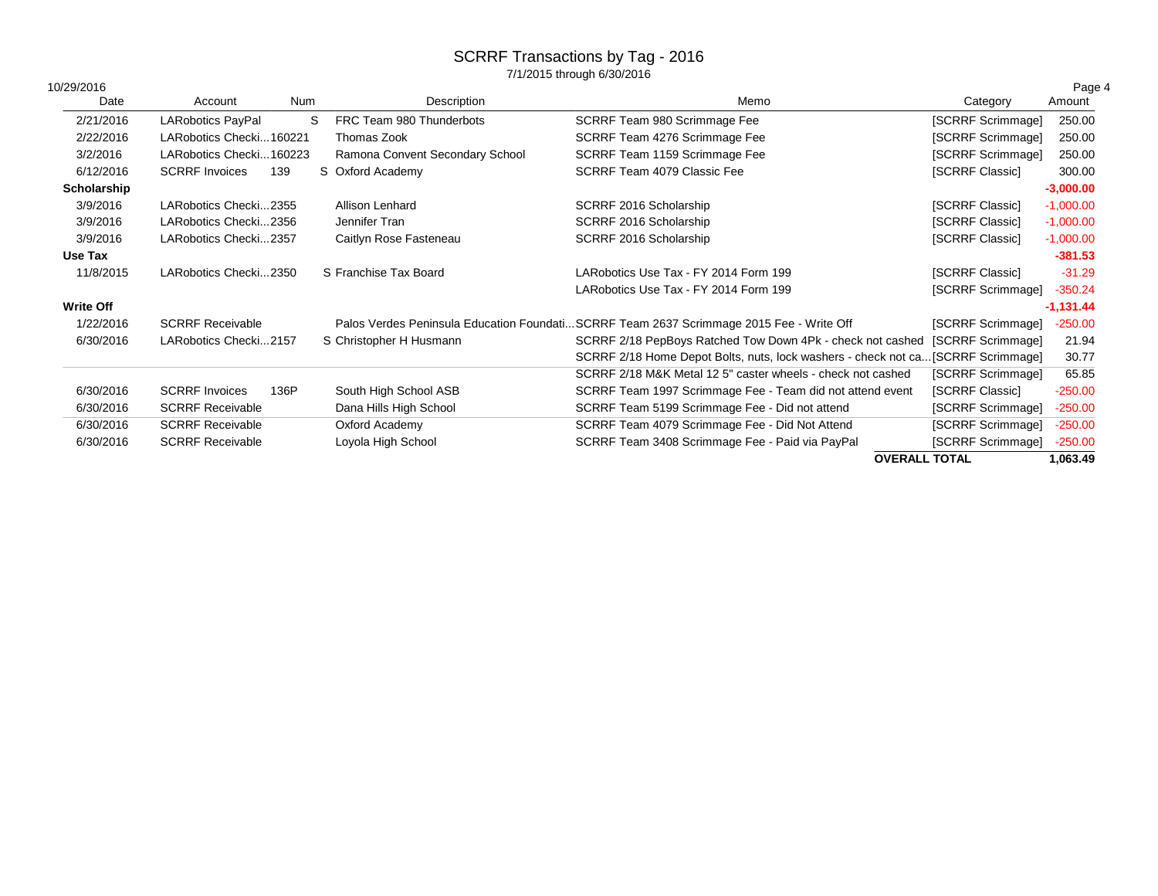7/1/2015 through 6/30/2016

| 10/29/2016       |                          |      |                                 |                                                                                         |                        | Page 4      |
|------------------|--------------------------|------|---------------------------------|-----------------------------------------------------------------------------------------|------------------------|-------------|
| Date             | Account                  | Num  | Description                     | Memo                                                                                    | Category               | Amount      |
| 2/21/2016        | <b>LARobotics PayPal</b> | S    | FRC Team 980 Thunderbots        | SCRRF Team 980 Scrimmage Fee                                                            | [SCRRF Scrimmage]      | 250.00      |
| 2/22/2016        | LARobotics Checki160221  |      | Thomas Zook                     | SCRRF Team 4276 Scrimmage Fee                                                           | [SCRRF Scrimmage]      | 250.00      |
| 3/2/2016         | LARobotics Checki160223  |      | Ramona Convent Secondary School | SCRRF Team 1159 Scrimmage Fee                                                           | [SCRRF Scrimmage]      | 250.00      |
| 6/12/2016        | <b>SCRRF Invoices</b>    | 139  | S Oxford Academy                | SCRRF Team 4079 Classic Fee                                                             | [SCRRF Classic]        | 300.00      |
| Scholarship      |                          |      |                                 |                                                                                         |                        | $-3,000.00$ |
| 3/9/2016         | LARobotics Checki2355    |      | Allison Lenhard                 | SCRRF 2016 Scholarship                                                                  | <b>ISCRRF Classic1</b> | $-1,000.00$ |
| 3/9/2016         | LARobotics Checki2356    |      | Jennifer Tran                   | SCRRF 2016 Scholarship                                                                  | [SCRRF Classic]        | $-1,000.00$ |
| 3/9/2016         | LARobotics Checki2357    |      | Caitlyn Rose Fasteneau          | SCRRF 2016 Scholarship                                                                  | [SCRRF Classic]        | $-1,000.00$ |
| Use Tax          |                          |      |                                 |                                                                                         |                        | $-381.53$   |
| 11/8/2015        | LARobotics Checki2350    |      | S Franchise Tax Board           | LARobotics Use Tax - FY 2014 Form 199                                                   | [SCRRF Classic]        | $-31.29$    |
|                  |                          |      |                                 | LARobotics Use Tax - FY 2014 Form 199                                                   | [SCRRF Scrimmage]      | $-350.24$   |
| <b>Write Off</b> |                          |      |                                 |                                                                                         |                        | $-1,131.44$ |
| 1/22/2016        | <b>SCRRF Receivable</b>  |      |                                 | Palos Verdes Peninsula Education FoundatiSCRRF Team 2637 Scrimmage 2015 Fee - Write Off | [SCRRF Scrimmage]      | $-250.00$   |
| 6/30/2016        | LARobotics Checki2157    |      | S Christopher H Husmann         | SCRRF 2/18 PepBoys Ratched Tow Down 4Pk - check not cashed                              | [SCRRF Scrimmage]      | 21.94       |
|                  |                          |      |                                 | SCRRF 2/18 Home Depot Bolts, nuts, lock washers - check not ca[SCRRF Scrimmage]         |                        | 30.77       |
|                  |                          |      |                                 | SCRRF 2/18 M&K Metal 12 5" caster wheels - check not cashed                             | [SCRRF Scrimmage]      | 65.85       |
| 6/30/2016        | <b>SCRRF</b> Invoices    | 136P | South High School ASB           | SCRRF Team 1997 Scrimmage Fee - Team did not attend event                               | [SCRRF Classic]        | $-250.00$   |
| 6/30/2016        | <b>SCRRF Receivable</b>  |      | Dana Hills High School          | SCRRF Team 5199 Scrimmage Fee - Did not attend                                          | [SCRRF Scrimmage]      | $-250.00$   |
| 6/30/2016        | <b>SCRRF Receivable</b>  |      | Oxford Academy                  | SCRRF Team 4079 Scrimmage Fee - Did Not Attend                                          | [SCRRF Scrimmage]      | $-250.00$   |
| 6/30/2016        | <b>SCRRF Receivable</b>  |      | Loyola High School              | SCRRF Team 3408 Scrimmage Fee - Paid via PayPal                                         | [SCRRF Scrimmage]      | $-250.00$   |

**OVERALL TOTAL 1,063.49**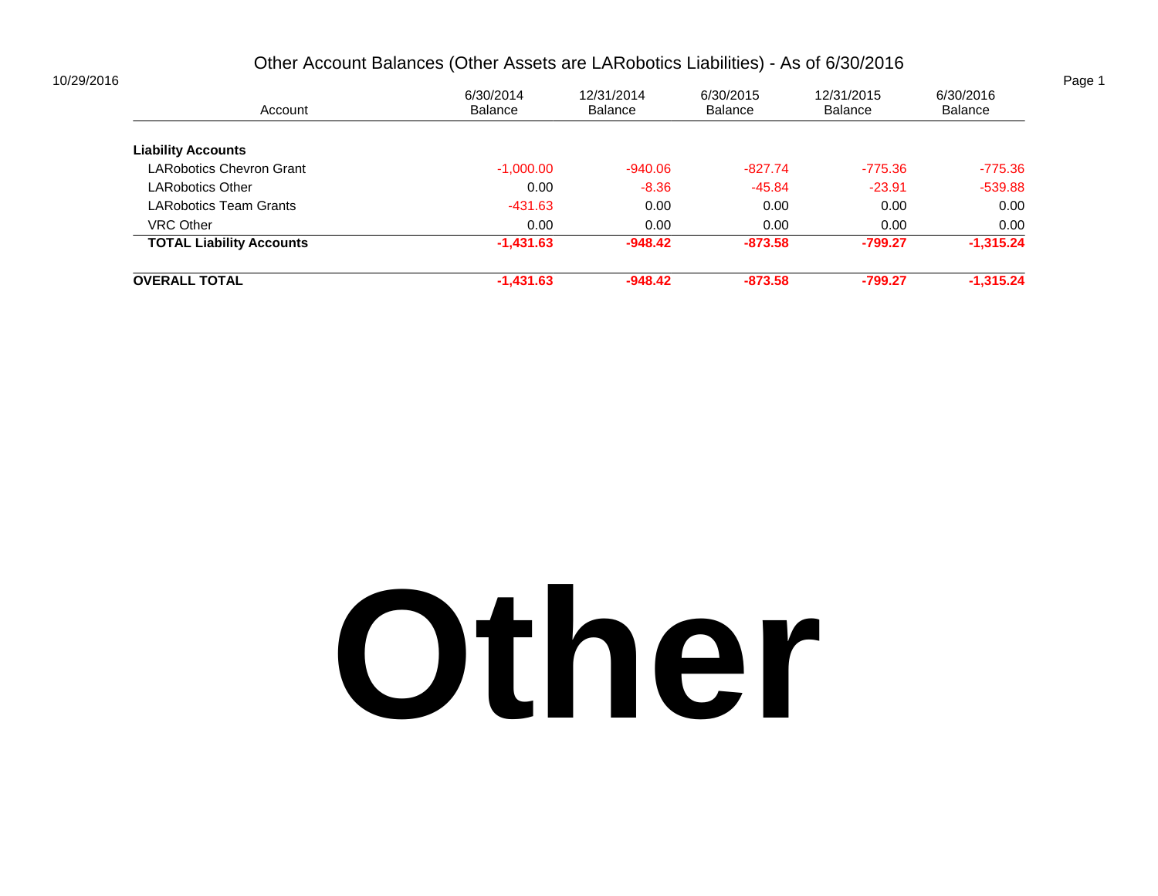#### Other Account Balances (Other Assets are LARobotics Liabilities) - As of 6/30/2016

|                             |                              |                             |                       |                      | Page 1 |
|-----------------------------|------------------------------|-----------------------------|-----------------------|----------------------|--------|
| 6/30/2014<br><b>Balance</b> | 12/31/2014<br><b>Balance</b> | 6/30/2015<br><b>Balance</b> | 12/31/2015<br>Balance | 6/30/2016<br>Balance |        |
|                             |                              |                             |                       |                      |        |
| $-1,000.00$                 | $-940.06$                    | $-827.74$                   | $-775.36$             | $-775.36$            |        |
| 0.00                        | $-8.36$                      | $-45.84$                    | $-23.91$              | $-539.88$            |        |
| $-431.63$                   | 0.00                         | 0.00                        | 0.00                  | 0.00                 |        |
| 0.00                        | 0.00                         | 0.00                        | 0.00                  | 0.00                 |        |
| $-1,431.63$                 | $-948.42$                    | $-873.58$                   | -799.27               | $-1,315.24$          |        |
| $-1,431.63$                 | $-948.42$                    | $-873.58$                   | $-799.27$             | $-1,315.24$          |        |
|                             |                              |                             |                       |                      |        |

## **Other**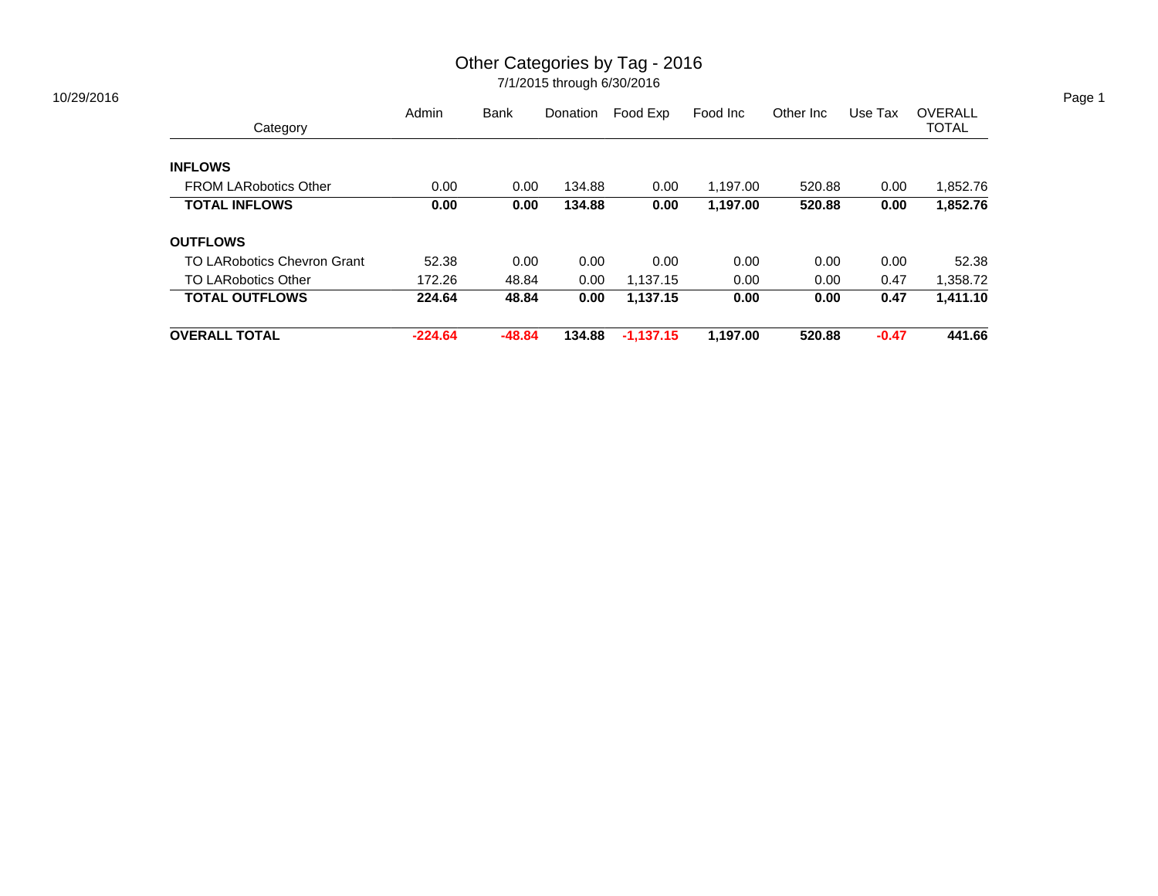### Other Categories by Tag - 2016

| Category                           | Admin     | <b>Bank</b> | Donation | Food Exp    | Food Inc | Other Inc | Use Tax | <b>OVERALL</b><br><b>TOTAL</b> |
|------------------------------------|-----------|-------------|----------|-------------|----------|-----------|---------|--------------------------------|
|                                    |           |             |          |             |          |           |         |                                |
| <b>INFLOWS</b>                     |           |             |          |             |          |           |         |                                |
| <b>FROM LARobotics Other</b>       | 0.00      | 0.00        | 134.88   | 0.00        | 1,197.00 | 520.88    | 0.00    | 1,852.76                       |
| <b>TOTAL INFLOWS</b>               | 0.00      | 0.00        | 134.88   | 0.00        | 1,197.00 | 520.88    | 0.00    | 1,852.76                       |
| <b>OUTFLOWS</b>                    |           |             |          |             |          |           |         |                                |
| <b>TO LARobotics Chevron Grant</b> | 52.38     | 0.00        | 0.00     | 0.00        | 0.00     | 0.00      | 0.00    | 52.38                          |
| <b>TO LARobotics Other</b>         | 172.26    | 48.84       | 0.00     | 1,137.15    | 0.00     | 0.00      | 0.47    | 1,358.72                       |
| <b>TOTAL OUTFLOWS</b>              | 224.64    | 48.84       | 0.00     | 1,137.15    | 0.00     | 0.00      | 0.47    | 1,411.10                       |
| <b>OVERALL TOTAL</b>               | $-224.64$ | -48.84      | 134.88   | $-1,137.15$ | 1.197.00 | 520.88    | $-0.47$ | 441.66                         |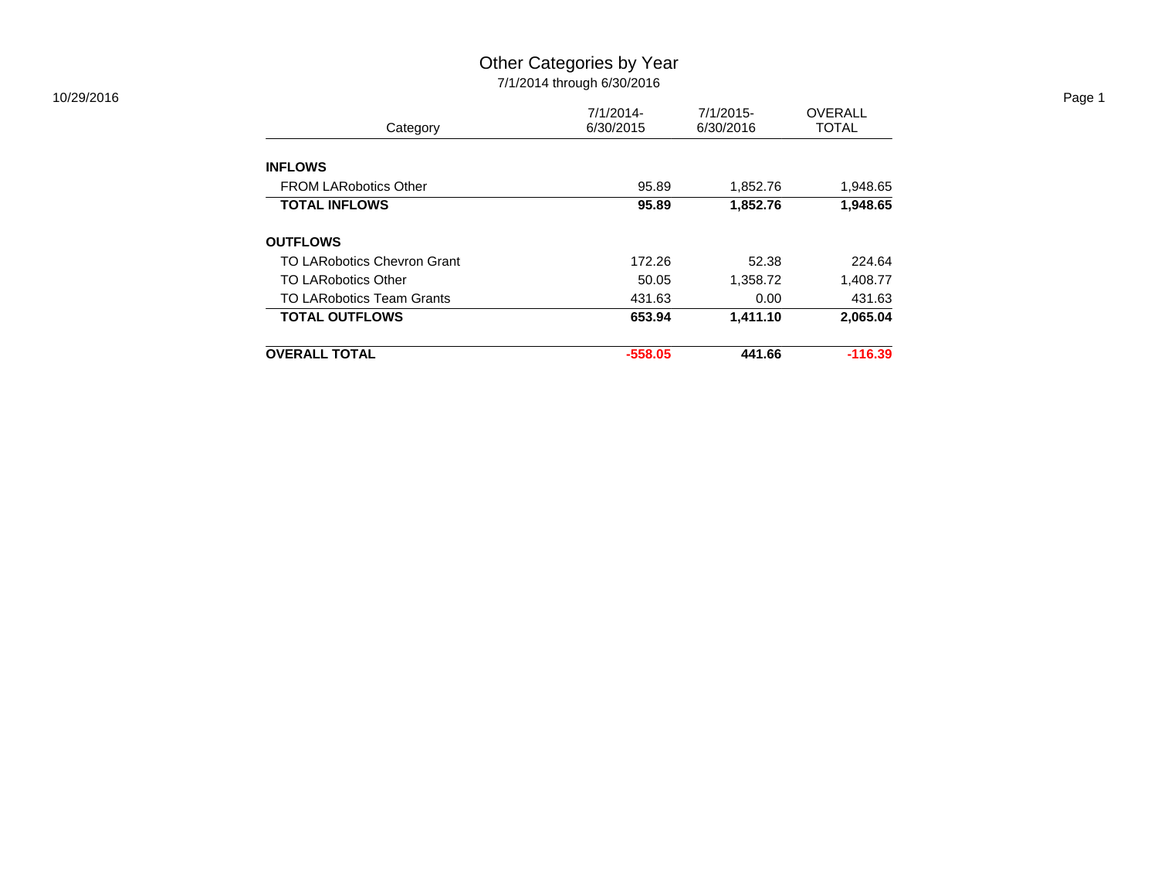#### Other Categories by Year 7/1/2014 through 6/30/2016

| <b>INFLOWS</b><br><b>FROM LARobotics Other</b> | 95.89     | 1,852.76 | 1,948.65  |
|------------------------------------------------|-----------|----------|-----------|
| <b>TOTAL INFLOWS</b>                           | 95.89     | 1,852.76 | 1,948.65  |
|                                                |           |          |           |
| <b>OUTFLOWS</b>                                |           |          |           |
| TO LARobotics Chevron Grant                    | 172.26    | 52.38    | 224.64    |
| TO LARobotics Other                            | 50.05     | 1,358.72 | 1,408.77  |
| <b>TO LARobotics Team Grants</b>               | 431.63    | 0.00     | 431.63    |
| <b>TOTAL OUTFLOWS</b>                          | 653.94    | 1,411.10 | 2,065.04  |
|                                                |           |          |           |
| <b>OVERALL TOTAL</b>                           | $-558.05$ | 441.66   | $-116.39$ |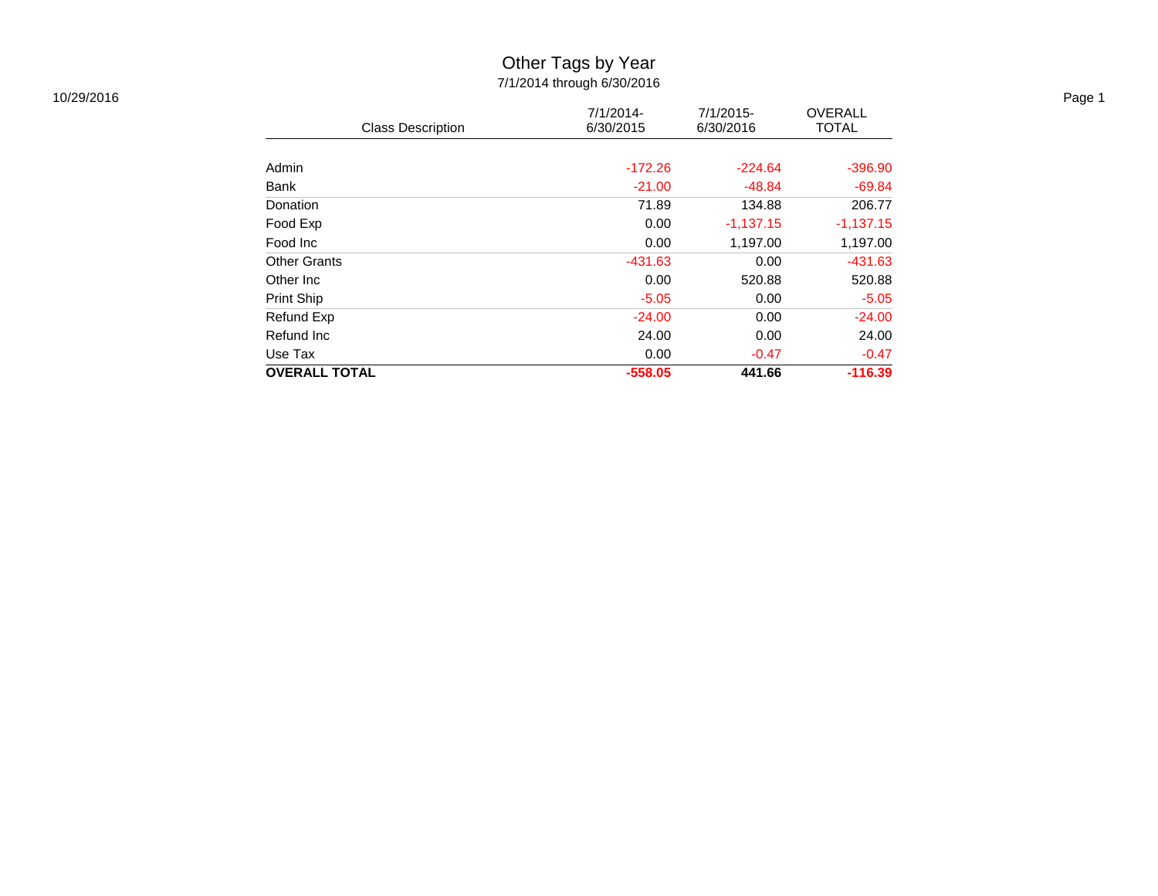## Other Tags by Year

| 10/29/2016 |                          |                           |                        |                                | Page 1 |
|------------|--------------------------|---------------------------|------------------------|--------------------------------|--------|
|            | <b>Class Description</b> | $7/1/2014$ -<br>6/30/2015 | 7/1/2015-<br>6/30/2016 | <b>OVERALL</b><br><b>TOTAL</b> |        |
|            |                          |                           |                        |                                |        |
|            | Admin                    | $-172.26$                 | $-224.64$              | $-396.90$                      |        |
|            | Bank                     | $-21.00$                  | $-48.84$               | $-69.84$                       |        |
|            | Donation                 | 71.89                     | 134.88                 | 206.77                         |        |
|            | Food Exp                 | 0.00                      | $-1,137.15$            | $-1,137.15$                    |        |
|            | Food Inc                 | 0.00                      | 1,197.00               | 1,197.00                       |        |
|            | <b>Other Grants</b>      | $-431.63$                 | 0.00                   | $-431.63$                      |        |
|            | Other Inc                | 0.00                      | 520.88                 | 520.88                         |        |
|            | Print Ship               | $-5.05$                   | 0.00                   | $-5.05$                        |        |
|            | Refund Exp               | $-24.00$                  | 0.00                   | $-24.00$                       |        |
|            | Refund Inc               | 24.00                     | 0.00                   | 24.00                          |        |
|            | Use Tax                  | 0.00                      | $-0.47$                | $-0.47$                        |        |
|            | <b>OVERALL TOTAL</b>     | $-558.05$                 | 441.66                 | $-116.39$                      |        |
|            |                          |                           |                        |                                |        |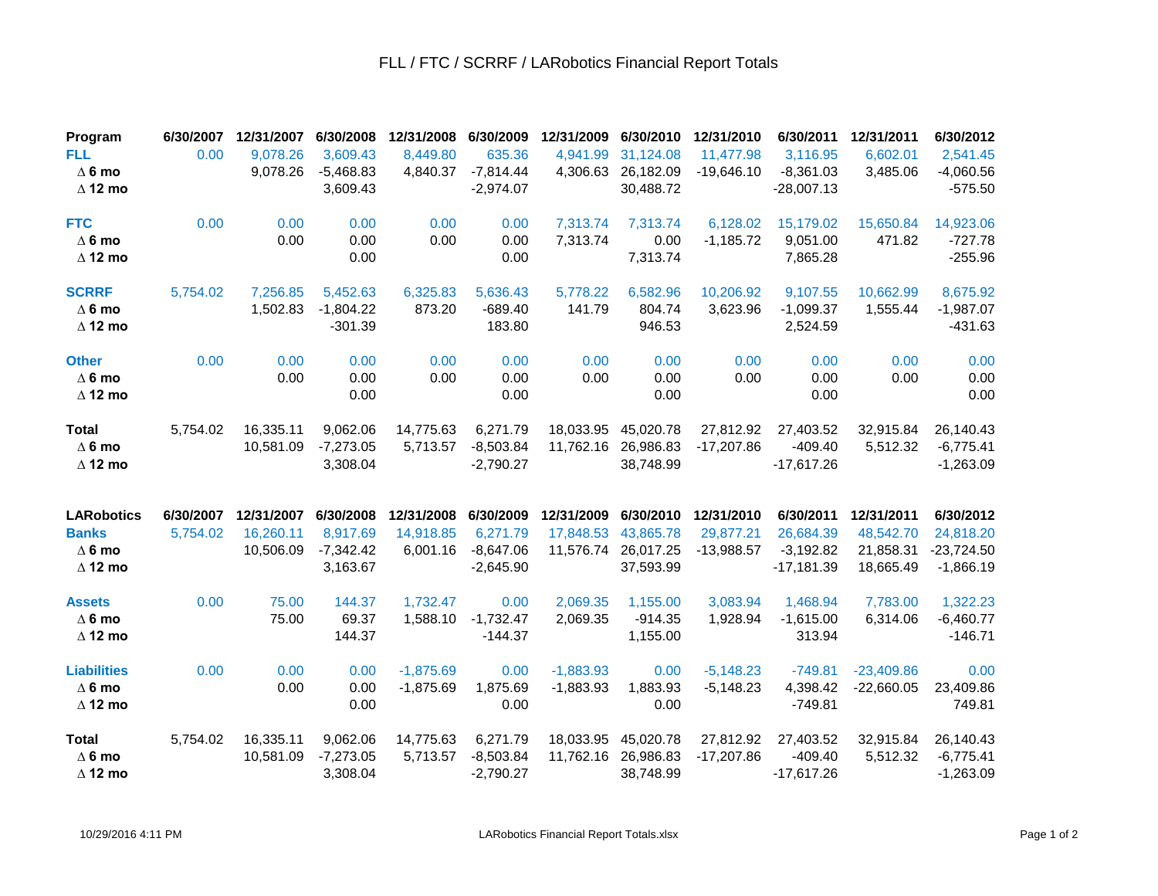#### FLL / FTC / SCRRF / LARobotics Financial Report Totals

| Program<br><b>FLL</b>                                                | 6/30/2007<br>0.00     | 12/31/2007<br>9,078.26               | 6/30/2008<br>3,609.43                            | 12/31/2008<br>8,449.80              | 6/30/2009<br>635.36                                 | 12/31/2009<br>4,941.99               | 6/30/2010<br>31,124.08                           | 12/31/2010<br>11,477.98                 | 6/30/2011<br>3,116.95                                 | 12/31/2011<br>6,602.01                            | 6/30/2012<br>2,541.45                                 |
|----------------------------------------------------------------------|-----------------------|--------------------------------------|--------------------------------------------------|-------------------------------------|-----------------------------------------------------|--------------------------------------|--------------------------------------------------|-----------------------------------------|-------------------------------------------------------|---------------------------------------------------|-------------------------------------------------------|
| $\Delta$ 6 mo<br>$\Delta$ 12 mo                                      |                       | 9,078.26                             | $-5,468.83$<br>3,609.43                          | 4,840.37                            | $-7,814.44$<br>$-2,974.07$                          | 4,306.63                             | 26,182.09<br>30,488.72                           | $-19,646.10$                            | $-8,361.03$<br>$-28,007.13$                           | 3,485.06                                          | $-4,060.56$<br>$-575.50$                              |
| <b>FTC</b><br>$\Delta$ 6 mo<br>$\Delta$ 12 mo                        | 0.00                  | 0.00<br>0.00                         | 0.00<br>0.00<br>0.00                             | 0.00<br>0.00                        | 0.00<br>0.00<br>0.00                                | 7,313.74<br>7,313.74                 | 7,313.74<br>0.00<br>7,313.74                     | 6,128.02<br>$-1,185.72$                 | 15,179.02<br>9,051.00<br>7,865.28                     | 15,650.84<br>471.82                               | 14,923.06<br>$-727.78$<br>$-255.96$                   |
| <b>SCRRF</b><br>$\Delta$ 6 mo<br>$\Delta$ 12 mo                      | 5,754.02              | 7,256.85<br>1,502.83                 | 5,452.63<br>$-1,804.22$<br>$-301.39$             | 6,325.83<br>873.20                  | 5,636.43<br>$-689.40$<br>183.80                     | 5,778.22<br>141.79                   | 6,582.96<br>804.74<br>946.53                     | 10,206.92<br>3,623.96                   | 9,107.55<br>$-1,099.37$<br>2,524.59                   | 10,662.99<br>1,555.44                             | 8,675.92<br>$-1,987.07$<br>$-431.63$                  |
| <b>Other</b><br>$\Delta$ 6 mo<br>$\Delta$ 12 mo                      | 0.00                  | 0.00<br>0.00                         | 0.00<br>0.00<br>0.00                             | 0.00<br>0.00                        | 0.00<br>0.00<br>0.00                                | 0.00<br>0.00                         | 0.00<br>0.00<br>0.00                             | 0.00<br>0.00                            | 0.00<br>0.00<br>0.00                                  | 0.00<br>0.00                                      | 0.00<br>0.00<br>0.00                                  |
| <b>Total</b><br>$\Delta$ 6 mo<br>$\Delta$ 12 mo                      | 5,754.02              | 16,335.11<br>10,581.09               | 9,062.06<br>$-7,273.05$<br>3,308.04              | 14,775.63<br>5,713.57               | 6,271.79<br>$-8,503.84$<br>$-2,790.27$              | 18,033.95<br>11,762.16               | 45,020.78<br>26,986.83<br>38,748.99              | 27,812.92<br>$-17,207.86$               | 27,403.52<br>$-409.40$<br>$-17,617.26$                | 32,915.84<br>5,512.32                             | 26,140.43<br>$-6,775.41$<br>$-1,263.09$               |
| <b>LARobotics</b><br><b>Banks</b><br>$\Delta$ 6 mo<br>$\Delta$ 12 mo | 6/30/2007<br>5,754.02 | 12/31/2007<br>16,260.11<br>10,506.09 | 6/30/2008<br>8,917.69<br>$-7,342.42$<br>3,163.67 | 12/31/2008<br>14,918.85<br>6,001.16 | 6/30/2009<br>6,271.79<br>$-8,647.06$<br>$-2,645.90$ | 12/31/2009<br>17,848.53<br>11,576.74 | 6/30/2010<br>43,865.78<br>26,017.25<br>37,593.99 | 12/31/2010<br>29,877.21<br>$-13,988.57$ | 6/30/2011<br>26,684.39<br>$-3,192.82$<br>$-17,181.39$ | 12/31/2011<br>48,542.70<br>21,858.31<br>18,665.49 | 6/30/2012<br>24,818.20<br>$-23,724.50$<br>$-1,866.19$ |
| <b>Assets</b><br>$\Delta$ 6 mo<br>$\Delta$ 12 mo                     | 0.00                  | 75.00<br>75.00                       | 144.37<br>69.37<br>144.37                        | 1,732.47<br>1,588.10                | 0.00<br>$-1,732.47$<br>$-144.37$                    | 2,069.35<br>2,069.35                 | 1,155.00<br>$-914.35$<br>1,155.00                | 3,083.94<br>1,928.94                    | 1,468.94<br>$-1,615.00$<br>313.94                     | 7,783.00<br>6,314.06                              | 1,322.23<br>$-6,460.77$<br>$-146.71$                  |
| <b>Liabilities</b><br>$\Delta$ 6 mo<br>$\Delta$ 12 mo                | 0.00                  | 0.00<br>0.00                         | 0.00<br>0.00<br>0.00                             | $-1,875.69$<br>$-1,875.69$          | 0.00<br>1,875.69<br>0.00                            | $-1,883.93$<br>$-1,883.93$           | 0.00<br>1,883.93<br>0.00                         | $-5,148.23$<br>$-5,148.23$              | $-749.81$<br>4,398.42<br>$-749.81$                    | $-23,409.86$<br>$-22,660.05$                      | 0.00<br>23,409.86<br>749.81                           |
| <b>Total</b><br>$\Delta$ 6 mo<br>$\Delta$ 12 mo                      | 5,754.02              | 16,335.11<br>10,581.09               | 9,062.06<br>$-7,273.05$<br>3,308.04              | 14,775.63<br>5,713.57               | 6,271.79<br>$-8,503.84$<br>$-2,790.27$              | 18,033.95<br>11,762.16               | 45,020.78<br>26,986.83<br>38,748.99              | 27,812.92<br>$-17,207.86$               | 27,403.52<br>$-409.40$<br>$-17,617.26$                | 32,915.84<br>5,512.32                             | 26,140.43<br>$-6,775.41$<br>$-1,263.09$               |